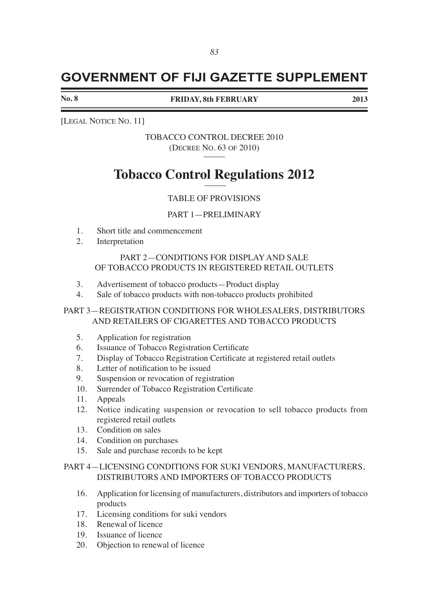# **GOVERNMENT OF FIJI GAZETTE SUPPLEMENT**

**No. 8** 

**FRIDAY, 8th FEBRUARY 2013**

[LEGAL NOTICE NO. 11]

TOBACCO CONTROL DECREE 2010 (DECREE NO. 63 OF 2010)

# **Tobacco Control Regulations 2012** \_\_\_\_\_

# TABLE OF PROVISIONS

## PART 1—PRELIMINARY

- 1. Short title and commencement<br>2. Interpretation
- **Interpretation**

# PART 2—CONDITIONS FOR DISPLAY AND SALE OF TOBACCO PRODUCTS IN REGISTERED RETAIL OUTLETS

- 3. Advertisement of tobacco products—Product display
- 4. Sale of tobacco products with non-tobacco products prohibited

# PART 3—REGISTRATION CONDITIONS FOR WHOLESALERS, DISTRIBUTORS AND RETAILERS OF CIGARETTES AND TOBACCO PRODUCTS

- 5. Application for registration
- 6. Issuance of Tobacco Registration Certificate
- 7. Display of Tobacco Registration Certificate at registered retail outlets
- 8. Letter of notification to be issued
- 9. Suspension or revocation of registration
- 10. Surrender of Tobacco Registration Certificate
- 11. Appeals
- 12. Notice indicating suspension or revocation to sell tobacco products from registered retail outlets
- 13. Condition on sales
- 14. Condition on purchases
- 15. Sale and purchase records to be kept

# PART 4—LICENSING CONDITIONS FOR SUKI VENDORS, MANUFACTURERS, DISTRIBUTORS AND IMPORTERS OF TOBACCO PRODUCTS

- 16. Application for licensing of manufacturers, distributors and importers of tobacco products
- 17. Licensing conditions for suki vendors
- 18. Renewal of licence
- 19. Issuance of licence
- 20. Objection to renewal of licence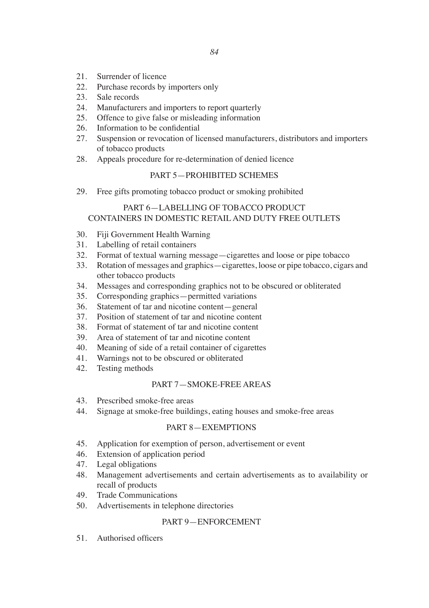- 21. Surrender of licence
- 22. Purchase records by importers only<br>23. Sale records
- Sale records
- 24. Manufacturers and importers to report quarterly
- 25. Offence to give false or misleading information
- 26. Information to be confidential
- 27. Suspension or revocation of licensed manufacturers, distributors and importers of tobacco products
- 28. Appeals procedure for re-determination of denied licence

## PART 5—PROHIBITED SCHEMES

29. Free gifts promoting tobacco product or smoking prohibited

# PART 6—LABELLING OF TOBACCO PRODUCT CONTAINERS IN DOMESTIC RETAIL AND DUTY FREE OUTLETS

- 30. Fiji Government Health Warning
- 31. Labelling of retail containers
- 32. Format of textual warning message—cigarettes and loose or pipe tobacco
- 33. Rotation of messages and graphics—cigarettes, loose or pipe tobacco, cigars and other tobacco products
- 34. Messages and corresponding graphics not to be obscured or obliterated
- 35. Corresponding graphics—permitted variations
- 36. Statement of tar and nicotine content—general
- 37. Position of statement of tar and nicotine content
- 38. Format of statement of tar and nicotine content
- 39. Area of statement of tar and nicotine content
- 40. Meaning of side of a retail container of cigarettes
- 41. Warnings not to be obscured or obliterated
- 42. Testing methods

#### PART 7—SMOKE-FREE AREAS

- 43. Prescribed smoke-free areas
- 44. Signage at smoke-free buildings, eating houses and smoke-free areas

### PART 8—EXEMPTIONS

- 45. Application for exemption of person, advertisement or event
- 46. Extension of application period
- 47. Legal obligations
- 48. Management advertisements and certain advertisements as to availability or recall of products
- 49. Trade Communications
- 50. Advertisements in telephone directories

## PART 9—ENFORCEMENT

51. Authorised officers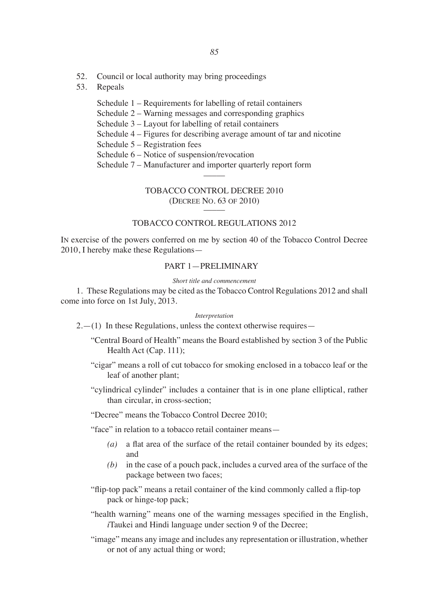- 52. Council or local authority may bring proceedings
- 53. Repeals
	- Schedule 1 Requirements for labelling of retail containers
	- Schedule 2 Warning messages and corresponding graphics
	- Schedule 3 Layout for labelling of retail containers
	- Schedule 4 Figures for describing average amount of tar and nicotine

Schedule 5 – Registration fees

- Schedule 6 Notice of suspension/revocation
- Schedule 7 Manufacturer and importer quarterly report form

### TOBACCO CONTROL DECREE 2010 (Decree NO. 63 of 2010) \_\_\_\_\_

## TOBACCO CONTROL REGULATIONS 2012

In exercise of the powers conferred on me by section 40 of the Tobacco Control Decree 2010, I hereby make these Regulations—

# PART 1—PRELIMINARY

*Short title and commencement*

1. These Regulations may be cited as the Tobacco Control Regulations 2012 and shall come into force on 1st July, 2013.

#### *Interpretation*

- $2.-(1)$  In these Regulations, unless the context otherwise requires—
	- "Central Board of Health" means the Board established by section 3 of the Public Health Act (Cap. 111);
	- "cigar" means a roll of cut tobacco for smoking enclosed in a tobacco leaf or the leaf of another plant;
	- "cylindrical cylinder" includes a container that is in one plane elliptical, rather than circular, in cross-section;

"Decree" means the Tobacco Control Decree 2010;

"face" in relation to a tobacco retail container means—

- *(a)* a flat area of the surface of the retail container bounded by its edges; and
- *(b)* in the case of a pouch pack, includes a curved area of the surface of the package between two faces;

"flip-top pack" means a retail container of the kind commonly called a flip-top pack or hinge-top pack;

- "health warning" means one of the warning messages specified in the English, *i*Taukei and Hindi language under section 9 of the Decree;
- "image" means any image and includes any representation or illustration, whether or not of any actual thing or word;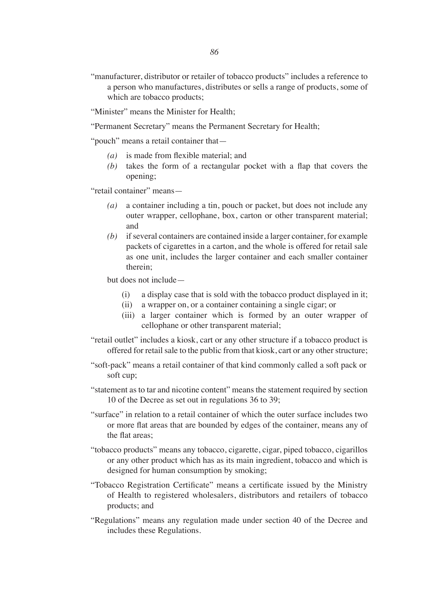"manufacturer, distributor or retailer of tobacco products" includes a reference to a person who manufactures, distributes or sells a range of products, some of which are tobacco products;

"Minister" means the Minister for Health;

"Permanent Secretary" means the Permanent Secretary for Health;

"pouch" means a retail container that—

- *(a)* is made from flexible material; and
- *(b)* takes the form of a rectangular pocket with a flap that covers the opening;

"retail container" means—

- *(a)* a container including a tin, pouch or packet, but does not include any outer wrapper, cellophane, box, carton or other transparent material; and
- *(b)* if several containers are contained inside a larger container, for example packets of cigarettes in a carton, and the whole is offered for retail sale as one unit, includes the larger container and each smaller container therein;

but does not include—

- (i) a display case that is sold with the tobacco product displayed in it;
- (ii) a wrapper on, or a container containing a single cigar; or
- (iii) a larger container which is formed by an outer wrapper of cellophane or other transparent material;
- "retail outlet" includes a kiosk, cart or any other structure if a tobacco product is offered for retail sale to the public from that kiosk, cart or any other structure;
- "soft-pack" means a retail container of that kind commonly called a soft pack or soft cup;
- "statement as to tar and nicotine content" means the statement required by section 10 of the Decree as set out in regulations 36 to 39;
- "surface" in relation to a retail container of which the outer surface includes two or more flat areas that are bounded by edges of the container, means any of the flat areas;
- "tobacco products" means any tobacco, cigarette, cigar, piped tobacco, cigarillos or any other product which has as its main ingredient, tobacco and which is designed for human consumption by smoking;
- "Tobacco Registration Certificate" means a certificate issued by the Ministry of Health to registered wholesalers, distributors and retailers of tobacco products; and
- "Regulations" means any regulation made under section 40 of the Decree and includes these Regulations.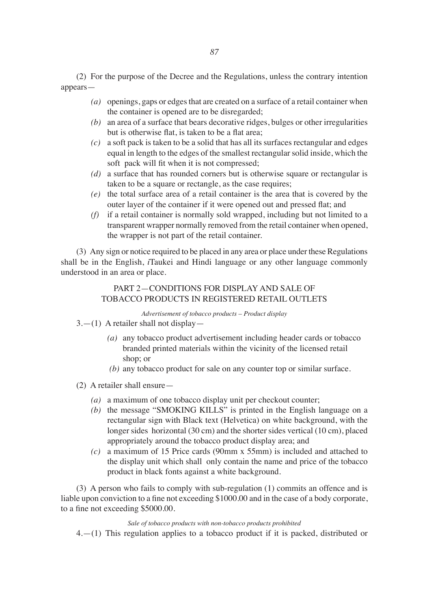(2) For the purpose of the Decree and the Regulations, unless the contrary intention appears—

- *(a)* openings, gaps or edges that are created on a surface of a retail container when the container is opened are to be disregarded;
- *(b)* an area of a surface that bears decorative ridges, bulges or other irregularities but is otherwise flat, is taken to be a flat area;
- *(c)* a soft pack is taken to be a solid that has all its surfaces rectangular and edges equal in length to the edges of the smallest rectangular solid inside, which the soft pack will fit when it is not compressed;
- *(d)* a surface that has rounded corners but is otherwise square or rectangular is taken to be a square or rectangle, as the case requires;
- *(e)* the total surface area of a retail container is the area that is covered by the outer layer of the container if it were opened out and pressed flat; and
- *(f)* if a retail container is normally sold wrapped, including but not limited to a transparent wrapper normally removed from the retail container when opened, the wrapper is not part of the retail container.

(3) Any sign or notice required to be placed in any area or place under these Regulations shall be in the English, *i*Taukei and Hindi language or any other language commonly understood in an area or place.

# PART 2—CONDITIONS FOR DISPLAY AND SALE OF TOBACCO PRODUCTS IN REGISTERED RETAIL OUTLETS

*Advertisement of tobacco products – Product display*

# $3-1$ ) A retailer shall not display-

- *(a)* any tobacco product advertisement including header cards or tobacco branded printed materials within the vicinity of the licensed retail shop; or
- *(b)* any tobacco product for sale on any counter top or similar surface.
- (2) A retailer shall ensure—
	- *(a)* a maximum of one tobacco display unit per checkout counter;
	- *(b)* the message "SMOKING KILLS" is printed in the English language on a rectangular sign with Black text (Helvetica) on white background, with the longer sides horizontal (30 cm) and the shorter sides vertical (10 cm), placed appropriately around the tobacco product display area; and
	- *(c)* a maximum of 15 Price cards (90mm x 55mm) is included and attached to the display unit which shall only contain the name and price of the tobacco product in black fonts against a white background.

(3) A person who fails to comply with sub-regulation (1) commits an offence and is liable upon conviction to a fine not exceeding \$1000.00 and in the case of a body corporate, to a fine not exceeding \$5000.00.

## *Sale of tobacco products with non-tobacco products prohibited*

4.—(1) This regulation applies to a tobacco product if it is packed, distributed or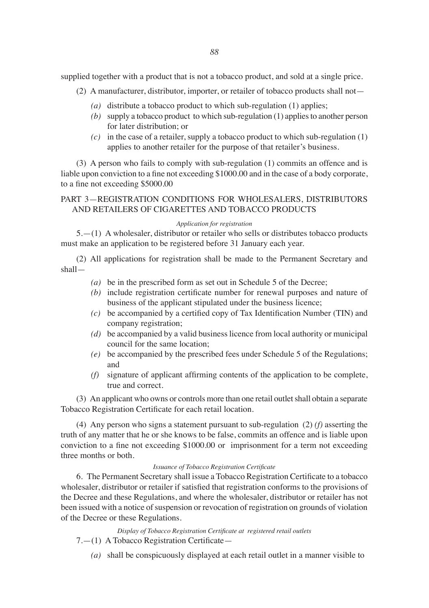supplied together with a product that is not a tobacco product, and sold at a single price.

- (2) A manufacturer, distributor, importer, or retailer of tobacco products shall not—
	- *(a)* distribute a tobacco product to which sub-regulation (1) applies;
	- *(b)* supply a tobacco product to which sub-regulation (1) applies to another person for later distribution; or
	- *(c)* in the case of a retailer, supply a tobacco product to which sub-regulation (1) applies to another retailer for the purpose of that retailer's business.

(3) A person who fails to comply with sub-regulation (1) commits an offence and is liable upon conviction to a fine not exceeding \$1000.00 and in the case of a body corporate, to a fine not exceeding \$5000.00

# PART 3—REGISTRATION CONDITIONS FOR WHOLESALERS, DISTRIBUTORS AND RETAILERS OF CIGARETTES AND TOBACCO PRODUCTS

#### *Application for registration*

5.—(1) A wholesaler, distributor or retailer who sells or distributes tobacco products must make an application to be registered before 31 January each year.

(2) All applications for registration shall be made to the Permanent Secretary and shall—

- *(a)* be in the prescribed form as set out in Schedule 5 of the Decree;
- *(b)* include registration certificate number for renewal purposes and nature of business of the applicant stipulated under the business licence;
- *(c)* be accompanied by a certified copy of Tax Identification Number (TIN) and company registration;
- *(d)* be accompanied by a valid business licence from local authority or municipal council for the same location;
- *(e)* be accompanied by the prescribed fees under Schedule 5 of the Regulations; and
- *(f)* signature of applicant affirming contents of the application to be complete, true and correct.

(3) An applicant who owns or controls more than one retail outlet shall obtain a separate Tobacco Registration Certificate for each retail location.

(4) Any person who signs a statement pursuant to sub-regulation (2) *(f)* asserting the truth of any matter that he or she knows to be false, commits an offence and is liable upon conviction to a fine not exceeding \$1000.00 or imprisonment for a term not exceeding three months or both.

#### *Issuance of Tobacco Registration Certificate*

6. The Permanent Secretary shall issue a Tobacco Registration Certificate to a tobacco wholesaler, distributor or retailer if satisfied that registration conforms to the provisions of the Decree and these Regulations, and where the wholesaler, distributor or retailer has not been issued with a notice of suspension or revocation of registration on grounds of violation of the Decree or these Regulations.

*Display of Tobacco Registration Certificate at registered retail outlets*

7.—(1) A Tobacco Registration Certificate—

*(a)* shall be conspicuously displayed at each retail outlet in a manner visible to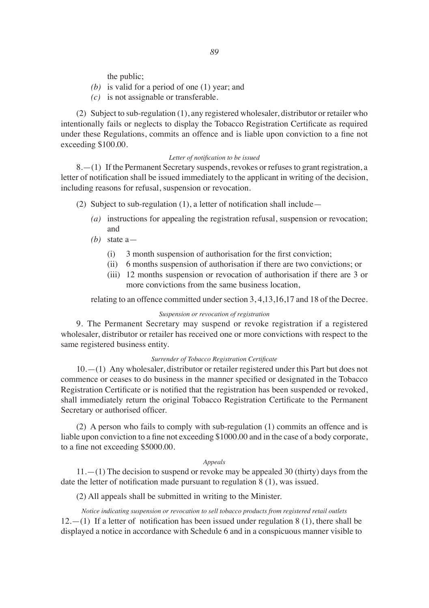the public;

- *(b)* is valid for a period of one (1) year; and
- *(c)* is not assignable or transferable.

(2) Subject to sub-regulation (1), any registered wholesaler, distributor or retailer who intentionally fails or neglects to display the Tobacco Registration Certificate as required under these Regulations, commits an offence and is liable upon conviction to a fine not exceeding \$100.00.

#### *Letter of notification to be issued*

8.—(1) If the Permanent Secretary suspends, revokes or refuses to grant registration, a letter of notification shall be issued immediately to the applicant in writing of the decision, including reasons for refusal, suspension or revocation.

(2) Subject to sub-regulation (1), a letter of notification shall include—

- *(a)* instructions for appealing the registration refusal, suspension or revocation; and
- *(b)* state a—
	- $(i)$  3 month suspension of authorisation for the first conviction;
	- (ii) 6 months suspension of authorisation if there are two convictions; or
	- (iii) 12 months suspension or revocation of authorisation if there are 3 or more convictions from the same business location,

relating to an offence committed under section 3, 4,13,16,17 and 18 of the Decree.

#### *Suspension or revocation of registration*

9. The Permanent Secretary may suspend or revoke registration if a registered wholesaler, distributor or retailer has received one or more convictions with respect to the same registered business entity.

## *Surrender of Tobacco Registration Certificate*

10.—(1) Any wholesaler, distributor or retailer registered under this Part but does not commence or ceases to do business in the manner specified or designated in the Tobacco Registration Certificate or is notified that the registration has been suspended or revoked, shall immediately return the original Tobacco Registration Certificate to the Permanent Secretary or authorised officer.

(2) A person who fails to comply with sub-regulation (1) commits an offence and is liable upon conviction to a fine not exceeding \$1000.00 and in the case of a body corporate, to a fine not exceeding \$5000.00.

#### *Appeals*

 $11.$ — $(1)$  The decision to suspend or revoke may be appealed 30 (thirty) days from the date the letter of notification made pursuant to regulation 8 (1), was issued.

(2) All appeals shall be submitted in writing to the Minister.

*Notice indicating suspension or revocation to sell tobacco products from registered retail outlets*  $12.-(1)$  If a letter of notification has been issued under regulation 8 (1), there shall be displayed a notice in accordance with Schedule 6 and in a conspicuous manner visible to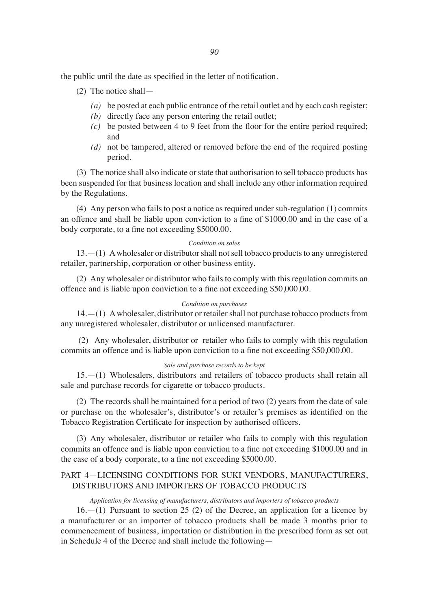the public until the date as specified in the letter of notification.

- (2) The notice shall—
	- *(a)* be posted at each public entrance of the retail outlet and by each cash register;
	- *(b)* directly face any person entering the retail outlet;
	- *(c)* be posted between 4 to 9 feet from the floor for the entire period required; and
	- *(d)* not be tampered, altered or removed before the end of the required posting period.

(3) The notice shall also indicate or state that authorisation to sell tobacco products has been suspended for that business location and shall include any other information required by the Regulations.

(4) Any person who fails to post a notice as required under sub-regulation (1) commits an offence and shall be liable upon conviction to a fine of \$1000.00 and in the case of a body corporate, to a fine not exceeding \$5000.00.

#### *Condition on sales*

13.—(1) A wholesaler or distributor shall not sell tobacco products to any unregistered retailer, partnership, corporation or other business entity.

(2) Any wholesaler or distributor who fails to comply with this regulation commits an offence and is liable upon conviction to a fine not exceeding \$50,000.00.

## *Condition on purchases*

14.—(1) A wholesaler, distributor or retailer shall not purchase tobacco products from any unregistered wholesaler, distributor or unlicensed manufacturer.

 (2) Any wholesaler, distributor or retailer who fails to comply with this regulation commits an offence and is liable upon conviction to a fine not exceeding \$50,000.00.

#### *Sale and purchase records to be kept*

15.—(1) Wholesalers, distributors and retailers of tobacco products shall retain all sale and purchase records for cigarette or tobacco products.

(2) The records shall be maintained for a period of two (2) years from the date of sale or purchase on the wholesaler's, distributor's or retailer's premises as identified on the Tobacco Registration Certificate for inspection by authorised officers.

(3) Any wholesaler, distributor or retailer who fails to comply with this regulation commits an offence and is liable upon conviction to a fine not exceeding \$1000.00 and in the case of a body corporate, to a fine not exceeding \$5000.00.

## PART 4—LICENSING CONDITIONS FOR SUKI VENDORS, MANUFACTURERS, DISTRIBUTORS AND IMPORTERS OF TOBACCO PRODUCTS

*Application for licensing of manufacturers, distributors and importers of tobacco products*

16.—(1) Pursuant to section 25 (2) of the Decree, an application for a licence by a manufacturer or an importer of tobacco products shall be made 3 months prior to commencement of business, importation or distribution in the prescribed form as set out in Schedule 4 of the Decree and shall include the following—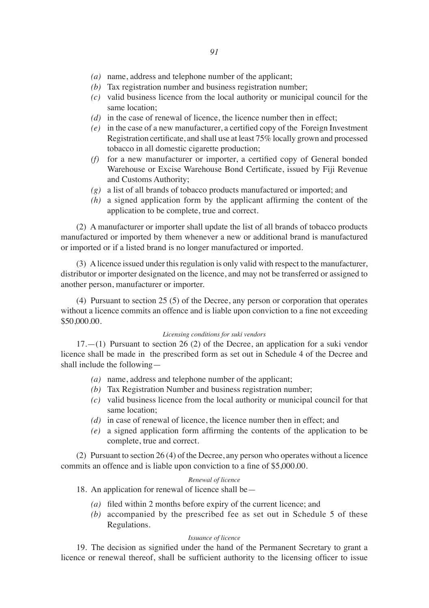- *(a)* name, address and telephone number of the applicant;
- *(b)* Tax registration number and business registration number;
- *(c)* valid business licence from the local authority or municipal council for the same location;
- *(d)* in the case of renewal of licence, the licence number then in effect;
- *(e)* in the case of a new manufacturer, a certified copy of the Foreign Investment Registration certificate, and shall use at least 75% locally grown and processed tobacco in all domestic cigarette production;
- *(f)* for a new manufacturer or importer, a certified copy of General bonded Warehouse or Excise Warehouse Bond Certificate, issued by Fiji Revenue and Customs Authority;
- *(g)* a list of all brands of tobacco products manufactured or imported; and
- *(h)* a signed application form by the applicant affirming the content of the application to be complete, true and correct.

(2) A manufacturer or importer shall update the list of all brands of tobacco products manufactured or imported by them whenever a new or additional brand is manufactured or imported or if a listed brand is no longer manufactured or imported.

(3) A licence issued under this regulation is only valid with respect to the manufacturer, distributor or importer designated on the licence, and may not be transferred or assigned to another person, manufacturer or importer.

(4) Pursuant to section 25 (5) of the Decree, any person or corporation that operates without a licence commits an offence and is liable upon conviction to a fine not exceeding \$50,000.00.

#### *Licensing conditions for suki vendors*

17.—(1) Pursuant to section 26 (2) of the Decree, an application for a suki vendor licence shall be made in the prescribed form as set out in Schedule 4 of the Decree and shall include the following—

- *(a)* name, address and telephone number of the applicant;
- *(b)* Tax Registration Number and business registration number;
- *(c)* valid business licence from the local authority or municipal council for that same location;
- *(d)* in case of renewal of licence, the licence number then in effect; and
- *(e)* a signed application form affirming the contents of the application to be complete, true and correct.

(2) Pursuant to section 26 (4) of the Decree, any person who operates without a licence commits an offence and is liable upon conviction to a fine of \$5,000.00.

#### *Renewal of licence*

18. An application for renewal of licence shall be—

- *(a)*  filed within 2 months before expiry of the current licence; and
- *(b)* accompanied by the prescribed fee as set out in Schedule 5 of these Regulations.

#### *Issuance of licence*

19. The decision as signified under the hand of the Permanent Secretary to grant a licence or renewal thereof, shall be sufficient authority to the licensing officer to issue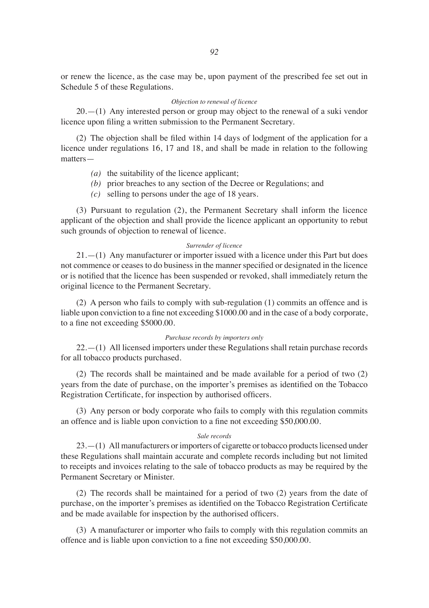or renew the licence, as the case may be, upon payment of the prescribed fee set out in Schedule 5 of these Regulations.

### *Objection to renewal of licence*

20.—(1) Any interested person or group may object to the renewal of a suki vendor licence upon filing a written submission to the Permanent Secretary.

(2) The objection shall be filed within 14 days of lodgment of the application for a licence under regulations 16, 17 and 18, and shall be made in relation to the following matters—

- *(a)* the suitability of the licence applicant;
- *(b)* prior breaches to any section of the Decree or Regulations; and
- *(c)* selling to persons under the age of 18 years.

(3) Pursuant to regulation (2), the Permanent Secretary shall inform the licence applicant of the objection and shall provide the licence applicant an opportunity to rebut such grounds of objection to renewal of licence.

#### *Surrender of licence*

21.—(1) Any manufacturer or importer issued with a licence under this Part but does not commence or ceases to do business in the manner specified or designated in the licence or is notified that the licence has been suspended or revoked, shall immediately return the original licence to the Permanent Secretary.

(2) A person who fails to comply with sub-regulation (1) commits an offence and is liable upon conviction to a fine not exceeding \$1000.00 and in the case of a body corporate, to <sup>a</sup> fine not exceeding \$5000.00.

#### *Purchase records by importers only*

22.—(1) All licensed importers under these Regulations shall retain purchase records for all tobacco products purchased.

(2) The records shall be maintained and be made available for a period of two (2) years from the date of purchase, on the importer's premises as identified on the Tobacco Registration Certificate, for inspection by authorised officers.

(3) Any person or body corporate who fails to comply with this regulation commits an offence and is liable upon conviction to a fine not exceeding \$50,000.00.

#### *Sale records*

23.—(1) All manufacturers or importers of cigarette or tobacco products licensed under these Regulations shall maintain accurate and complete records including but not limited to receipts and invoices relating to the sale of tobacco products as may be required by the Permanent Secretary or Minister.

(2) The records shall be maintained for a period of two (2) years from the date of purchase, on the importer's premises as identified on the Tobacco Registration Certificate and be made available for inspection by the authorised officers. 

(3) A manufacturer or importer who fails to comply with this regulation commits an offence and is liable upon conviction to a fine not exceeding \$50,000.00.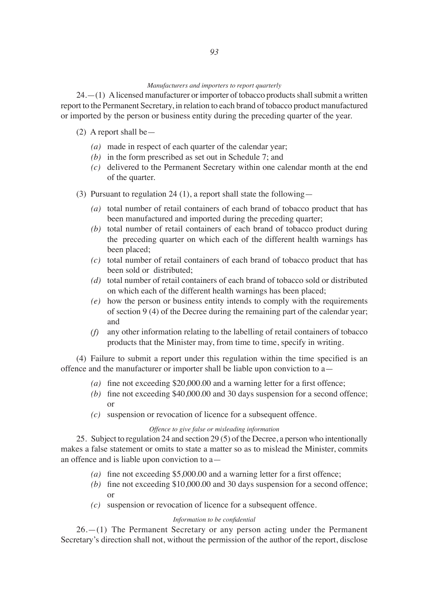#### *Manufacturers and importers to report quarterly*

24.—(1) A licensed manufacturer or importer of tobacco products shall submit a written report to the Permanent Secretary, in relation to each brand of tobacco product manufactured or imported by the person or business entity during the preceding quarter of the year.

## (2) A report shall be—

- *(a)* made in respect of each quarter of the calendar year;
- *(b)* in the form prescribed as set out in Schedule 7; and
- *(c)* delivered to the Permanent Secretary within one calendar month at the end of the quarter.
- (3) Pursuant to regulation 24 (1), a report shall state the following—
	- *(a)* total number of retail containers of each brand of tobacco product that has been manufactured and imported during the preceding quarter;
	- *(b)* total number of retail containers of each brand of tobacco product during the preceding quarter on which each of the different health warnings has been placed;
	- *(c)* total number of retail containers of each brand of tobacco product that has been sold or distributed;
	- *(d)* total number of retail containers of each brand of tobacco sold or distributed on which each of the different health warnings has been placed;
	- *(e)* how the person or business entity intends to comply with the requirements of section 9 (4) of the Decree during the remaining part of the calendar year; and
	- $(f)$  any other information relating to the labelling of retail containers of tobacco products that the Minister may, from time to time, specify in writing.

(4) Failure to submit a report under this regulation within the time specified is an offence and the manufacturer or importer shall be liable upon conviction to a—

- *(a)* fine not exceeding \$20,000.00 and a warning letter for a first offence;
- *(b)* fine not exceeding \$40,000.00 and 30 days suspension for a second offence; or
- *(c)* suspension or revocation of licence for a subsequent offence.

#### *Offence to give false or misleading information*

25. Subject to regulation 24 and section 29 (5) of the Decree, a person who intentionally makes a false statement or omits to state a matter so as to mislead the Minister, commits an offence and is liable upon conviction to a—

- *(a)* fine not exceeding \$5,000.00 and a warning letter for a first offence;
- *(b)* fine not exceeding \$10,000.00 and 30 days suspension for a second offence; or
- *(c)* suspension or revocation of licence for a subsequent offence.

#### *Information to be confidential*

26.—(1) The Permanent Secretary or any person acting under the Permanent Secretary's direction shall not, without the permission of the author of the report, disclose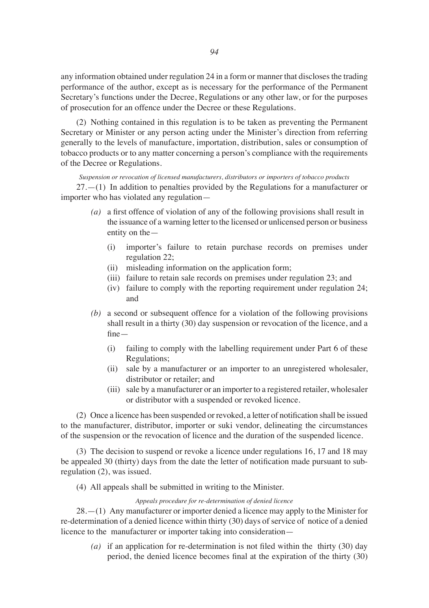any information obtained under regulation 24 in a form or manner that discloses the trading performance of the author, except as is necessary for the performance of the Permanent Secretary's functions under the Decree, Regulations or any other law, or for the purposes of prosecution for an offence under the Decree or these Regulations.

(2) Nothing contained in this regulation is to be taken as preventing the Permanent Secretary or Minister or any person acting under the Minister's direction from referring generally to the levels of manufacture, importation, distribution, sales or consumption of tobacco products or to any matter concerning a person's compliance with the requirements of the Decree or Regulations.

*Suspension or revocation of licensed manufacturers, distributors or importers of tobacco products* 27.—(1) In addition to penalties provided by the Regulations for a manufacturer or importer who has violated any regulation—

- *(a)* a first offence of violation of any of the following provisions shall result in the issuance of a warning letter to the licensed or unlicensed person or business entity on the—
	- (i) importer's failure to retain purchase records on premises under regulation 22;
	- (ii) misleading information on the application form;
	- (iii) failure to retain sale records on premises under regulation 23; and
	- (iv) failure to comply with the reporting requirement under regulation 24; and
- *(b)* a second or subsequent offence for a violation of the following provisions shall result in a thirty (30) day suspension or revocation of the licence, and a fine—
	- (i) failing to comply with the labelling requirement under Part 6 of these Regulations;
	- (ii) sale by a manufacturer or an importer to an unregistered wholesaler, distributor or retailer; and
	- (iii) sale by a manufacturer or an importer to a registered retailer, wholesaler or distributor with a suspended or revoked licence.

(2) Once a licence has been suspended or revoked, a letter of notification shall be issued to the manufacturer, distributor, importer or suki vendor, delineating the circumstances of the suspension or the revocation of licence and the duration of the suspended licence.

(3) The decision to suspend or revoke a licence under regulations 16, 17 and 18 may be appealed 30 (thirty) days from the date the letter of notification made pursuant to subregulation (2), was issued.

(4) All appeals shall be submitted in writing to the Minister.

#### *Appeals procedure for re-determination of denied licence*

28.—(1) Any manufacturer or importer denied a licence may apply to the Minister for re-determination of a denied licence within thirty (30) days of service of notice of a denied licence to the manufacturer or importer taking into consideration—

*(a)* if an application for re-determination is not filed within the thirty (30) day period, the denied licence becomes final at the expiration of the thirty (30)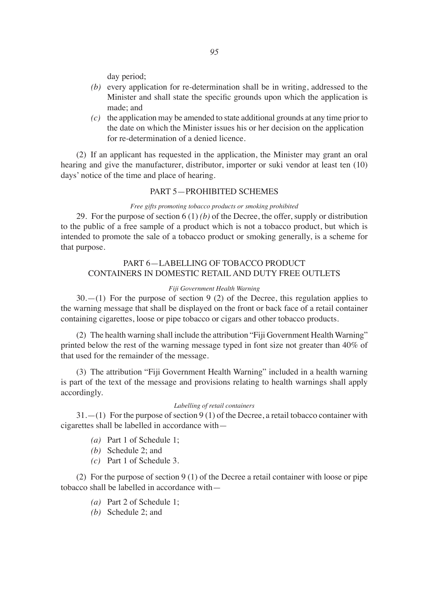day period;

- *(b)* every application for re-determination shall be in writing, addressed to the Minister and shall state the specific grounds upon which the application is made; and
- *(c)* the application may be amended to state additional grounds at any time prior to the date on which the Minister issues his or her decision on the application for re-determination of a denied licence.

(2) If an applicant has requested in the application, the Minister may grant an oral hearing and give the manufacturer, distributor, importer or suki vendor at least ten (10) days' notice of the time and place of hearing.

#### PART 5—PROHIBITED SCHEMES

#### *Free gifts promoting tobacco products or smoking prohibited*

29. For the purpose of section 6 (1) *(b)* of the Decree, the offer, supply or distribution to the public of a free sample of a product which is not a tobacco product, but which is intended to promote the sale of a tobacco product or smoking generally, is a scheme for that purpose.

# PART 6—LABELLING OF TOBACCO PRODUCT CONTAINERS IN DOMESTIC RETAIL AND DUTY FREE OUTLETS

#### *Fiji Government Health Warning*

30.—(1) For the purpose of section 9 (2) of the Decree, this regulation applies to the warning message that shall be displayed on the front or back face of a retail container containing cigarettes, loose or pipe tobacco or cigars and other tobacco products.

(2) The health warning shall include the attribution "Fiji Government Health Warning" printed below the rest of the warning message typed in font size not greater than 40% of that used for the remainder of the message.

(3) The attribution "Fiji Government Health Warning" included in a health warning is part of the text of the message and provisions relating to health warnings shall apply accordingly.

#### *Labelling of retail containers*

 $31.$  -(1) For the purpose of section 9 (1) of the Decree, a retail tobacco container with cigarettes shall be labelled in accordance with—

- *(a)* Part 1 of Schedule 1;
- *(b)* Schedule 2; and
- *(c)* Part 1 of Schedule 3.

(2) For the purpose of section 9 (1) of the Decree a retail container with loose or pipe tobacco shall be labelled in accordance with—

- *(a)* Part 2 of Schedule 1;
- *(b)* Schedule 2; and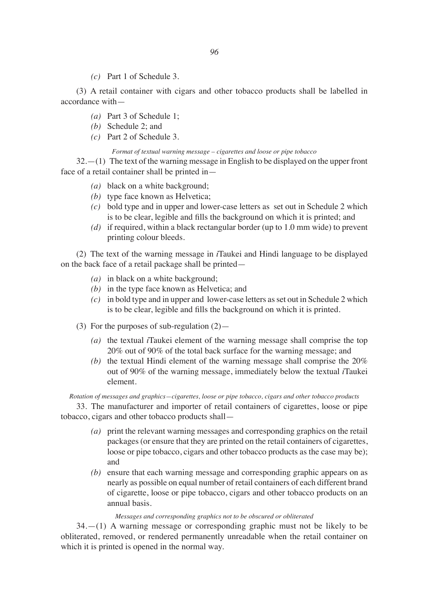*(c)* Part 1 of Schedule 3.

(3) A retail container with cigars and other tobacco products shall be labelled in accordance with—

- *(a)* Part 3 of Schedule 1;
- *(b)* Schedule 2; and
- *(c)* Part 2 of Schedule 3.

*Format of textual warning message – cigarettes and loose or pipe tobacco*

32.—(1) The text of the warning message in English to be displayed on the upper front face of a retail container shall be printed in—

- *(a)* black on a white background;
- *(b)* type face known as Helvetica;
- *(c)* bold type and in upper and lower-case letters as set out in Schedule 2 which is to be clear, legible and fills the background on which it is printed; and
- *(d)* if required, within a black rectangular border (up to 1.0 mm wide) to prevent printing colour bleeds.

(2) The text of the warning message in *i*Taukei and Hindi language to be displayed on the back face of a retail package shall be printed—

- *(a)* in black on a white background;
- *(b)* in the type face known as Helvetica; and
- *(c)* in bold type and in upper and lower-case letters as set out in Schedule 2 which is to be clear, legible and fills the background on which it is printed.
- (3) For the purposes of sub-regulation  $(2)$ 
	- *(a)* the textual *i*Taukei element of the warning message shall comprise the top 20% out of 90% of the total back surface for the warning message; and
	- (b) the textual Hindi element of the warning message shall comprise the  $20\%$ out of 90% of the warning message, immediately below the textual *i*Taukei element.

*Rotation of messages and graphics—cigarettes, loose or pipe tobacco, cigars and other tobacco products*

33. The manufacturer and importer of retail containers of cigarettes, loose or pipe tobacco, cigars and other tobacco products shall—

- *(a)* print the relevant warning messages and corresponding graphics on the retail packages (or ensure that they are printed on the retail containers of cigarettes, loose or pipe tobacco, cigars and other tobacco products as the case may be); and
- *(b)* ensure that each warning message and corresponding graphic appears on as nearly as possible on equal number of retail containers of each different brand of cigarette, loose or pipe tobacco, cigars and other tobacco products on an annual basis.

#### *Messages and corresponding graphics not to be obscured or obliterated*

34.—(1) A warning message or corresponding graphic must not be likely to be obliterated, removed, or rendered permanently unreadable when the retail container on which it is printed is opened in the normal way.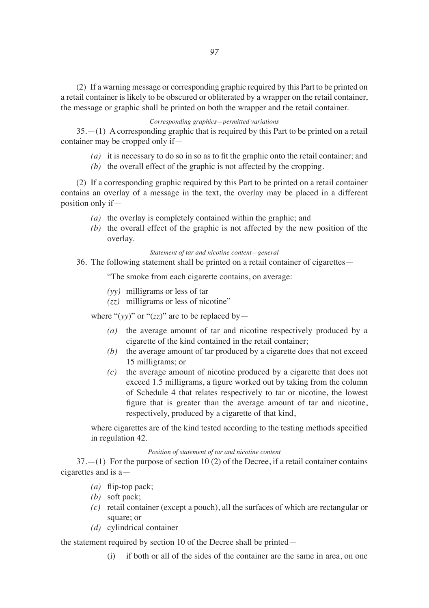(2) If a warning message or corresponding graphic required by this Part to be printed on a retail container is likely to be obscured or obliterated by a wrapper on the retail container, the message or graphic shall be printed on both the wrapper and the retail container.

## *Corresponding graphics—permitted variations*

35.—(1) A corresponding graphic that is required by this Part to be printed on a retail container may be cropped only if—

- *(a)* it is necessary to do so in so as to fit the graphic onto the retail container; and
- *(b)* the overall effect of the graphic is not affected by the cropping.

(2) If a corresponding graphic required by this Part to be printed on a retail container contains an overlay of a message in the text, the overlay may be placed in a different position only if—

- *(a)* the overlay is completely contained within the graphic; and
- *(b)* the overall effect of the graphic is not affected by the new position of the overlay.

## *Statement of tar and nicotine content—general*

36. The following statement shall be printed on a retail container of cigarettes—

"The smoke from each cigarette contains, on average:

- *(yy)* milligrams or less of tar
- *(zz)* milligrams or less of nicotine"

where " $(yy)$ " or " $(zz)$ " are to be replaced by —

- *(a)* the average amount of tar and nicotine respectively produced by a cigarette of the kind contained in the retail container;
- *(b)* the average amount of tar produced by a cigarette does that not exceed 15 milligrams; or
- *(c)* the average amount of nicotine produced by a cigarette that does not exceed 1.5 milligrams, a figure worked out by taking from the column of Schedule 4 that relates respectively to tar or nicotine, the lowest figure that is greater than the average amount of tar and nicotine, respectively, produced by a cigarette of that kind,

where cigarettes are of the kind tested according to the testing methods specified in regulation 42.

#### *Position of statement of tar and nicotine content*

37.—(1) For the purpose of section 10 (2) of the Decree, if a retail container contains cigarettes and is a—

- *(a)* flip-top pack;
- *(b)* soft pack;
- *(c)* retail container (except a pouch), all the surfaces of which are rectangular or square; or
- *(d)* cylindrical container

the statement required by section 10 of the Decree shall be printed—

(i) if both or all of the sides of the container are the same in area, on one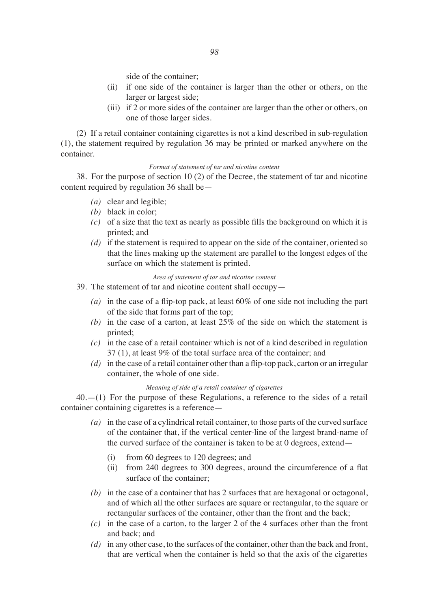side of the container;

- (ii) if one side of the container is larger than the other or others, on the larger or largest side;
- (iii) if 2 or more sides of the container are larger than the other or others, on one of those larger sides.

(2) If a retail container containing cigarettes is not a kind described in sub-regulation (1), the statement required by regulation 36 may be printed or marked anywhere on the container.

#### *Format of statement of tar and nicotine content*

38. For the purpose of section 10 (2) of the Decree, the statement of tar and nicotine content required by regulation 36 shall be—

- *(a)* clear and legible;
- *(b)* black in color;
- *(c)* of a size that the text as nearly as possible fills the background on which it is printed; and
- *(d)* if the statement is required to appear on the side of the container, oriented so that the lines making up the statement are parallel to the longest edges of the surface on which the statement is printed.

*Area of statement of tar and nicotine content*

- 39. The statement of tar and nicotine content shall occupy—
	- *(a)* in the case of a flip-top pack, at least 60% of one side not including the part of the side that forms part of the top;
	- *(b)* in the case of a carton, at least 25% of the side on which the statement is printed;
	- *(c)* in the case of a retail container which is not of a kind described in regulation 37 (1), at least 9% of the total surface area of the container; and
	- *(d)* in the case of a retail container other than a flip-top pack, carton or an irregular container, the whole of one side.

## *Meaning of side of a retail container of cigarettes*

40.—(1) For the purpose of these Regulations, a reference to the sides of a retail container containing cigarettes is a reference—

- *(a)* in the case of a cylindrical retail container, to those parts of the curved surface of the container that, if the vertical center-line of the largest brand-name of the curved surface of the container is taken to be at 0 degrees, extend—
	- (i) from 60 degrees to 120 degrees; and
	- (ii) from 240 degrees to 300 degrees, around the circumference of a flat surface of the container;
- $(b)$  in the case of a container that has 2 surfaces that are hexagonal or octagonal, and of which all the other surfaces are square or rectangular, to the square or rectangular surfaces of the container, other than the front and the back;
- *(c)* in the case of a carton, to the larger 2 of the 4 surfaces other than the front and back; and
- *(d)* in any other case, to the surfaces of the container, other than the back and front, that are vertical when the container is held so that the axis of the cigarettes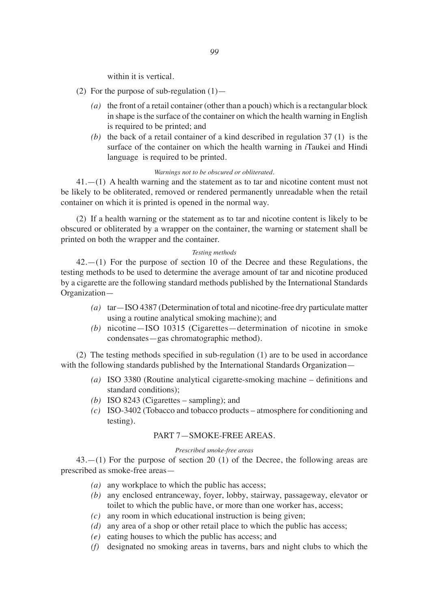within it is vertical.

- (2) For the purpose of sub-regulation  $(1)$ 
	- *(a)* the front of a retail container (other than a pouch) which is a rectangular block in shape is the surface of the container on which the health warning in English is required to be printed; and
	- *(b)* the back of a retail container of a kind described in regulation 37 (1) is the surface of the container on which the health warning in *i*Taukei and Hindi language is required to be printed.

#### *Warnings not to be obscured or obliterated.*

41.—(1) A health warning and the statement as to tar and nicotine content must not be likely to be obliterated, removed or rendered permanently unreadable when the retail container on which it is printed is opened in the normal way.

(2) If a health warning or the statement as to tar and nicotine content is likely to be obscured or obliterated by a wrapper on the container, the warning or statement shall be printed on both the wrapper and the container.

#### *Testing methods*

 $42$ .—(1) For the purpose of section 10 of the Decree and these Regulations, the testing methods to be used to determine the average amount of tar and nicotine produced by a cigarette are the following standard methods published by the International Standards Organization—

- *(a)* tar—ISO 4387 (Determination of total and nicotine-free dry particulate matter using a routine analytical smoking machine); and
- *(b)* nicotine—ISO 10315 (Cigarettes—determination of nicotine in smoke condensates—gas chromatographic method).

(2) The testing methods specified in sub-regulation (1) are to be used in accordance with the following standards published by the International Standards Organization-

- *(a)* ISO 3380 (Routine analytical cigarette-smoking machine definitions and standard conditions);
- *(b)* ISO 8243 (Cigarettes sampling); and
- *(c)* ISO-3402 (Tobacco and tobacco products atmosphere for conditioning and testing).

# PART 7—SMOKE-FREE AREAS.

#### *Prescribed smoke-free areas*

43.—(1) For the purpose of section 20 (1) of the Decree, the following areas are prescribed as smoke-free areas—

- *(a)* any workplace to which the public has access;
- *(b)* any enclosed entranceway, foyer, lobby, stairway, passageway, elevator or toilet to which the public have, or more than one worker has, access;
- *(c)* any room in which educational instruction is being given;
- *(d)* any area of a shop or other retail place to which the public has access;
- *(e)* eating houses to which the public has access; and
- *(f)* designated no smoking areas in taverns, bars and night clubs to which the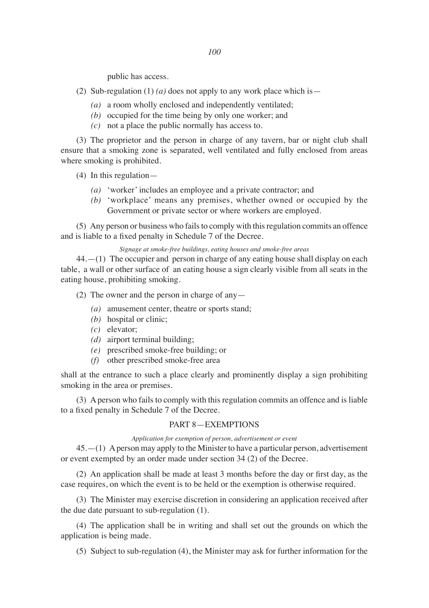*100*

public has access.

- (2) Sub-regulation (1) *(a)* does not apply to any work place which is—
	- *(a)* a room wholly enclosed and independently ventilated;
	- *(b)* occupied for the time being by only one worker; and
	- *(c)* not a place the public normally has access to.

(3) The proprietor and the person in charge of any tavern, bar or night club shall ensure that a smoking zone is separated, well ventilated and fully enclosed from areas where smoking is prohibited.

(4) In this regulation—

- *(a)* 'worker' includes an employee and a private contractor; and
- *(b)* 'workplace' means any premises, whether owned or occupied by the Government or private sector or where workers are employed.

(5) Any person or business who fails to comply with this regulation commits an offence and is liable to a fixed penalty in Schedule 7 of the Decree.

#### *Signage at smoke-free buildings, eating houses and smoke-free areas*

44.—(1) The occupier and person in charge of any eating house shall display on each table, a wall or other surface of an eating house a sign clearly visible from all seats in the eating house, prohibiting smoking.

(2) The owner and the person in charge of any-

- *(a)* amusement center, theatre or sports stand;
- *(b)* hospital or clinic;
- *(c)* elevator;
- *(d)* airport terminal building;
- *(e)* prescribed smoke-free building; or
- *(f)* other prescribed smoke-free area

shall at the entrance to such a place clearly and prominently display a sign prohibiting smoking in the area or premises.

(3) A person who fails to comply with this regulation commits an offence and is liable to a fixed penalty in Schedule 7 of the Decree.

## PART 8—EXEMPTIONS

#### *Application for exemption of person, advertisement or event*

45.—(1) A person may apply to the Minister to have a particular person, advertisement or event exempted by an order made under section 34 (2) of the Decree.

(2) An application shall be made at least 3 months before the day or first day, as the case requires, on which the event is to be held or the exemption is otherwise required.

(3) The Minister may exercise discretion in considering an application received after the due date pursuant to sub-regulation (1).

(4) The application shall be in writing and shall set out the grounds on which the application is being made.

(5) Subject to sub-regulation (4), the Minister may ask for further information for the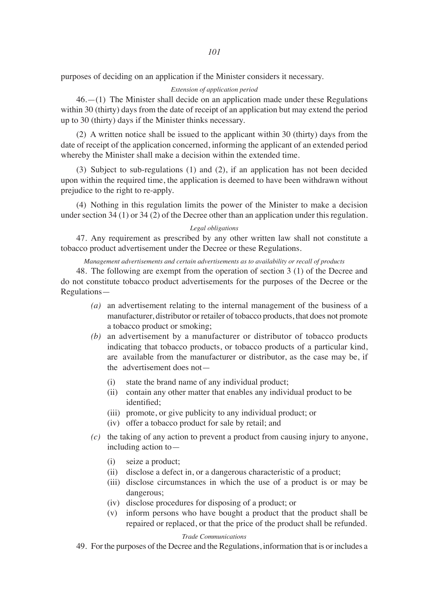purposes of deciding on an application if the Minister considers it necessary.

## *Extension of application period*

46.—(1) The Minister shall decide on an application made under these Regulations within 30 (thirty) days from the date of receipt of an application but may extend the period up to 30 (thirty) days if the Minister thinks necessary.

(2) A written notice shall be issued to the applicant within 30 (thirty) days from the date of receipt of the application concerned, informing the applicant of an extended period whereby the Minister shall make a decision within the extended time.

(3) Subject to sub-regulations (1) and (2), if an application has not been decided upon within the required time, the application is deemed to have been withdrawn without prejudice to the right to re-apply.

(4) Nothing in this regulation limits the power of the Minister to make a decision under section 34 (1) or 34 (2) of the Decree other than an application under this regulation.

#### *Legal obligations*

47. Any requirement as prescribed by any other written law shall not constitute a tobacco product advertisement under the Decree or these Regulations.

#### *Management advertisements and certain advertisements as to availability or recall of products*

48. The following are exempt from the operation of section 3 (1) of the Decree and do not constitute tobacco product advertisements for the purposes of the Decree or the Regulations—

- *(a)* an advertisement relating to the internal management of the business of a manufacturer, distributor or retailer of tobacco products, that does not promote a tobacco product or smoking;
- *(b)* an advertisement by a manufacturer or distributor of tobacco products indicating that tobacco products, or tobacco products of a particular kind, are available from the manufacturer or distributor, as the case may be, if the advertisement does not—
	- (i) state the brand name of any individual product;
	- (ii) contain any other matter that enables any individual product to be identified;
	- (iii) promote, or give publicity to any individual product; or
	- (iv) offer a tobacco product for sale by retail; and
- *(c)* the taking of any action to prevent a product from causing injury to anyone, including action to—
	- (i) seize a product;
	- (ii) disclose a defect in, or a dangerous characteristic of a product;
	- (iii) disclose circumstances in which the use of a product is or may be dangerous;
	- (iv) disclose procedures for disposing of a product; or
	- (v) inform persons who have bought a product that the product shall be repaired or replaced, or that the price of the product shall be refunded.

## *Trade Communications*

49. For the purposes of the Decree and the Regulations, information that is or includes a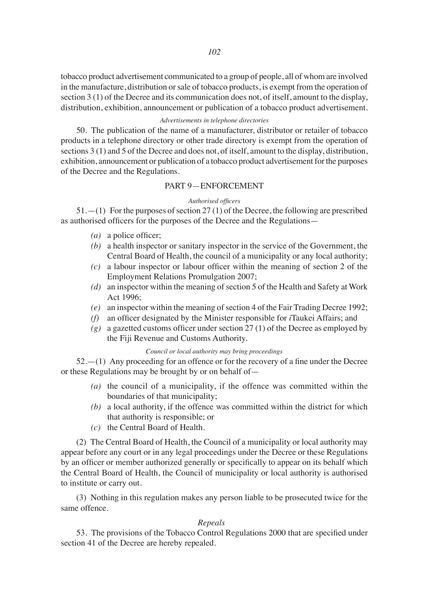tobacco product advertisement communicated to a group of people, all of whom are involved in the manufacture, distribution or sale of tobacco products, is exempt from the operation of section 3 (1) of the Decree and its communication does not, of itself, amount to the display, distribution, exhibition, announcement or publication of a tobacco product advertisement.

## *Advertisements in telephone directories*

50. The publication of the name of a manufacturer, distributor or retailer of tobacco products in a telephone directory or other trade directory is exempt from the operation of sections 3 (1) and 5 of the Decree and does not, of itself, amount to the display, distribution, exhibition, announcement or publication of a tobacco product advertisement for the purposes of the Decree and the Regulations.

### PART 9—ENFORCEMENT

### *Authorised officers*

51.—(1) For the purposes of section 27 (1) of the Decree, the following are prescribed as authorised officers for the purposes of the Decree and the Regulations—

- *(a)* a police officer;
- *(b)* a health inspector or sanitary inspector in the service of the Government, the Central Board of Health, the council of a municipality or any local authority;
- *(c)* a labour inspector or labour officer within the meaning of section 2 of the Employment Relations Promulgation 2007;
- *(d)* an inspector within the meaning of section 5 of the Health and Safety at Work Act 1996;
- *(e)* an inspector within the meaning of section 4 of the Fair Trading Decree 1992;
- *(f)* an officer designated by the Minister responsible for *i*Taukei Affairs; and
- *(g)* a gazetted customs officer under section 27 (1) of the Decree as employed by the Fiji Revenue and Customs Authority.

#### *Council or local authority may bring proceedings*

52.—(1) Any proceeding for an offence or for the recovery of a fine under the Decree or these Regulations may be brought by or on behalf of—

- *(a)* the council of a municipality, if the offence was committed within the boundaries of that municipality;
- *(b)* a local authority, if the offence was committed within the district for which that authority is responsible; or
- *(c)* the Central Board of Health.

(2) The Central Board of Health, the Council of a municipality or local authority may appear before any court or in any legal proceedings under the Decree or these Regulations by an officer or member authorized generally or specifically to appear on its behalf which the Central Board of Health, the Council of municipality or local authority is authorised to institute or carry out.

(3) Nothing in this regulation makes any person liable to be prosecuted twice for the same offence.

# *Repeals*

53. The provisions of the Tobacco Control Regulations 2000 that are specified under section 41 of the Decree are hereby repealed.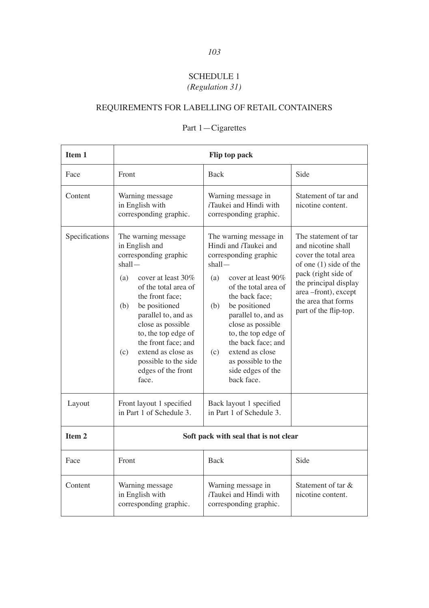# SCHEDULE 1 *(Regulation 31)*

# REQUIREMENTS FOR LABELLING OF RETAIL CONTAINERS

| Item 1            | Flip top pack                                                                                                                                                                                                                                                                                                                                              |                                                                                                                                                                                                                                                                                                                                                                       |                                                                                                                                                                                                                       |
|-------------------|------------------------------------------------------------------------------------------------------------------------------------------------------------------------------------------------------------------------------------------------------------------------------------------------------------------------------------------------------------|-----------------------------------------------------------------------------------------------------------------------------------------------------------------------------------------------------------------------------------------------------------------------------------------------------------------------------------------------------------------------|-----------------------------------------------------------------------------------------------------------------------------------------------------------------------------------------------------------------------|
| Face              | Front                                                                                                                                                                                                                                                                                                                                                      | <b>Back</b>                                                                                                                                                                                                                                                                                                                                                           | Side                                                                                                                                                                                                                  |
| Content           | Warning message<br>in English with<br>corresponding graphic.                                                                                                                                                                                                                                                                                               | Warning message in<br>$i$ Taukei and Hindi with<br>corresponding graphic.                                                                                                                                                                                                                                                                                             | Statement of tar and<br>nicotine content.                                                                                                                                                                             |
| Specifications    | The warning message<br>in English and<br>corresponding graphic<br>$shall -$<br>(a)<br>cover at least 30\%<br>of the total area of<br>the front face:<br>(b)<br>be positioned<br>parallel to, and as<br>close as possible<br>to, the top edge of<br>the front face; and<br>extend as close as<br>(c)<br>possible to the side<br>edges of the front<br>face. | The warning message in<br>Hindi and <i>i</i> Taukei and<br>corresponding graphic<br>shall<br>(a)<br>cover at least 90\%<br>of the total area of<br>the back face:<br>(b)<br>be positioned<br>parallel to, and as<br>close as possible<br>to, the top edge of<br>the back face; and<br>extend as close<br>(c)<br>as possible to the<br>side edges of the<br>back face. | The statement of tar<br>and nicotine shall<br>cover the total area<br>of one $(1)$ side of the<br>pack (right side of<br>the principal display<br>area-front), except<br>the area that forms<br>part of the flip-top. |
| Layout            | Front layout 1 specified<br>in Part 1 of Schedule 3.                                                                                                                                                                                                                                                                                                       | Back layout 1 specified<br>in Part 1 of Schedule 3.                                                                                                                                                                                                                                                                                                                   |                                                                                                                                                                                                                       |
| Item <sub>2</sub> | Soft pack with seal that is not clear                                                                                                                                                                                                                                                                                                                      |                                                                                                                                                                                                                                                                                                                                                                       |                                                                                                                                                                                                                       |
| Face              | Front                                                                                                                                                                                                                                                                                                                                                      | <b>Back</b>                                                                                                                                                                                                                                                                                                                                                           | Side                                                                                                                                                                                                                  |
| Content           | Warning message<br>in English with<br>corresponding graphic.                                                                                                                                                                                                                                                                                               | Warning message in<br><i>i</i> Taukei and Hindi with<br>corresponding graphic.                                                                                                                                                                                                                                                                                        | Statement of tar $\&$<br>nicotine content.                                                                                                                                                                            |

# Part 1—Cigarettes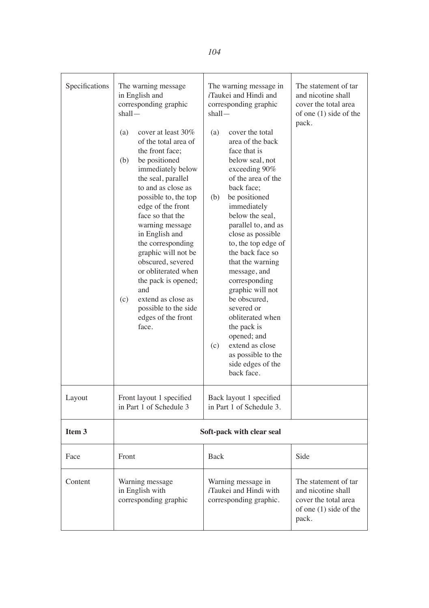| Specifications    | The warning message<br>in English and<br>corresponding graphic<br>shall-                                                                                                                                                                                                                                                                                                                                                                                                      | The warning message in<br><i>i</i> Taukei and Hindi and<br>corresponding graphic<br>shall-                                                                                                                                                                                                                                                                                                                                                                                                                                      | The statement of tar<br>and nicotine shall<br>cover the total area<br>of one $(1)$ side of the        |
|-------------------|-------------------------------------------------------------------------------------------------------------------------------------------------------------------------------------------------------------------------------------------------------------------------------------------------------------------------------------------------------------------------------------------------------------------------------------------------------------------------------|---------------------------------------------------------------------------------------------------------------------------------------------------------------------------------------------------------------------------------------------------------------------------------------------------------------------------------------------------------------------------------------------------------------------------------------------------------------------------------------------------------------------------------|-------------------------------------------------------------------------------------------------------|
|                   | (a)<br>cover at least 30%<br>of the total area of<br>the front face;<br>(b)<br>be positioned<br>immediately below<br>the seal, parallel<br>to and as close as<br>possible to, the top<br>edge of the front<br>face so that the<br>warning message<br>in English and<br>the corresponding<br>graphic will not be<br>obscured, severed<br>or obliterated when<br>the pack is opened;<br>and<br>extend as close as<br>(c)<br>possible to the side<br>edges of the front<br>face. | (a)<br>cover the total<br>area of the back<br>face that is<br>below seal, not<br>exceeding 90%<br>of the area of the<br>back face:<br>(b)<br>be positioned<br>immediately<br>below the seal,<br>parallel to, and as<br>close as possible<br>to, the top edge of<br>the back face so<br>that the warning<br>message, and<br>corresponding<br>graphic will not<br>be obscured,<br>severed or<br>obliterated when<br>the pack is<br>opened; and<br>extend as close<br>(c)<br>as possible to the<br>side edges of the<br>back face. | pack.                                                                                                 |
| Layout            | Front layout 1 specified<br>in Part 1 of Schedule 3                                                                                                                                                                                                                                                                                                                                                                                                                           | Back layout 1 specified<br>in Part 1 of Schedule 3.                                                                                                                                                                                                                                                                                                                                                                                                                                                                             |                                                                                                       |
| Item <sub>3</sub> |                                                                                                                                                                                                                                                                                                                                                                                                                                                                               | Soft-pack with clear seal                                                                                                                                                                                                                                                                                                                                                                                                                                                                                                       |                                                                                                       |
| Face              | Front                                                                                                                                                                                                                                                                                                                                                                                                                                                                         | Back                                                                                                                                                                                                                                                                                                                                                                                                                                                                                                                            | Side                                                                                                  |
| Content           | Warning message<br>in English with<br>corresponding graphic                                                                                                                                                                                                                                                                                                                                                                                                                   | Warning message in<br><i>i</i> Taukei and Hindi with<br>corresponding graphic.                                                                                                                                                                                                                                                                                                                                                                                                                                                  | The statement of tar<br>and nicotine shall<br>cover the total area<br>of one (1) side of the<br>pack. |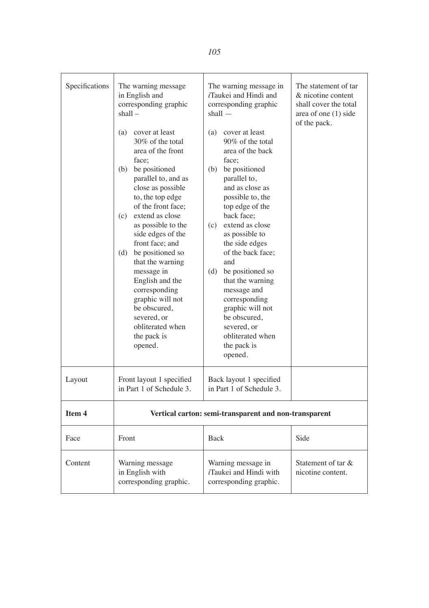| Specifications | The warning message<br>in English and<br>corresponding graphic<br>shall –                                                                                                                                                                                                                                                                                                                                                                                                       | The warning message in<br><i>i</i> Taukei and Hindi and<br>corresponding graphic<br>$shall -$                                                                                                                                                                                                                                                                                                                                                                    | The statement of tar<br>& nicotine content<br>shall cover the total<br>area of one $(1)$ side<br>of the pack. |
|----------------|---------------------------------------------------------------------------------------------------------------------------------------------------------------------------------------------------------------------------------------------------------------------------------------------------------------------------------------------------------------------------------------------------------------------------------------------------------------------------------|------------------------------------------------------------------------------------------------------------------------------------------------------------------------------------------------------------------------------------------------------------------------------------------------------------------------------------------------------------------------------------------------------------------------------------------------------------------|---------------------------------------------------------------------------------------------------------------|
|                | (a)<br>cover at least<br>30% of the total<br>area of the front<br>face:<br>be positioned<br>(b)<br>parallel to, and as<br>close as possible<br>to, the top edge<br>of the front face;<br>extend as close<br>(c)<br>as possible to the<br>side edges of the<br>front face; and<br>be positioned so<br>(d)<br>that the warning<br>message in<br>English and the<br>corresponding<br>graphic will not<br>be obscured,<br>severed, or<br>obliterated when<br>the pack is<br>opened. | (a)<br>cover at least<br>90% of the total<br>area of the back<br>face:<br>be positioned<br>(b)<br>parallel to,<br>and as close as<br>possible to, the<br>top edge of the<br>back face;<br>extend as close<br>(c)<br>as possible to<br>the side edges<br>of the back face;<br>and<br>be positioned so<br>(d)<br>that the warning<br>message and<br>corresponding<br>graphic will not<br>be obscured,<br>severed, or<br>obliterated when<br>the pack is<br>opened. |                                                                                                               |
| Layout         | Front layout 1 specified<br>in Part 1 of Schedule 3.                                                                                                                                                                                                                                                                                                                                                                                                                            | Back layout 1 specified<br>in Part 1 of Schedule 3.                                                                                                                                                                                                                                                                                                                                                                                                              |                                                                                                               |
| Item 4         | Vertical carton: semi-transparent and non-transparent                                                                                                                                                                                                                                                                                                                                                                                                                           |                                                                                                                                                                                                                                                                                                                                                                                                                                                                  |                                                                                                               |
| Face           | Front                                                                                                                                                                                                                                                                                                                                                                                                                                                                           | <b>Back</b>                                                                                                                                                                                                                                                                                                                                                                                                                                                      | Side                                                                                                          |
| Content        | Warning message<br>in English with<br>corresponding graphic.                                                                                                                                                                                                                                                                                                                                                                                                                    | Warning message in<br><i>i</i> Taukei and Hindi with<br>corresponding graphic.                                                                                                                                                                                                                                                                                                                                                                                   | Statement of tar &<br>nicotine content.                                                                       |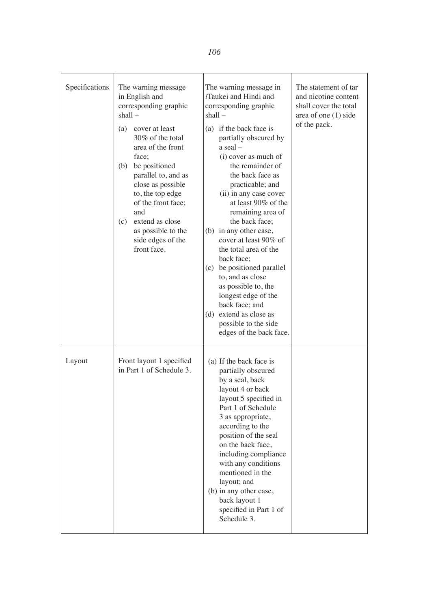| Specifications | The warning message<br>in English and<br>corresponding graphic<br>$shall -$<br>(a) cover at least<br>30% of the total<br>area of the front<br>face;<br>be positioned<br>(b)<br>parallel to, and as<br>close as possible<br>to, the top edge<br>of the front face;<br>and<br>extend as close<br>(c)<br>as possible to the<br>side edges of the<br>front face. | The warning message in<br>iTaukei and Hindi and<br>corresponding graphic<br>shall –<br>(a) if the back face is<br>partially obscured by<br>a seal-<br>(i) cover as much of<br>the remainder of<br>the back face as<br>practicable; and<br>(ii) in any case cover<br>at least $90\%$ of the<br>remaining area of<br>the back face;<br>(b) in any other case,<br>cover at least 90% of<br>the total area of the<br>back face;<br>(c) be positioned parallel<br>to, and as close<br>as possible to, the<br>longest edge of the<br>back face; and<br>(d) extend as close as<br>possible to the side<br>edges of the back face. | The statement of tar<br>and nicotine content<br>shall cover the total<br>area of one $(1)$ side<br>of the pack. |
|----------------|--------------------------------------------------------------------------------------------------------------------------------------------------------------------------------------------------------------------------------------------------------------------------------------------------------------------------------------------------------------|----------------------------------------------------------------------------------------------------------------------------------------------------------------------------------------------------------------------------------------------------------------------------------------------------------------------------------------------------------------------------------------------------------------------------------------------------------------------------------------------------------------------------------------------------------------------------------------------------------------------------|-----------------------------------------------------------------------------------------------------------------|
| Layout         | Front layout 1 specified<br>in Part 1 of Schedule 3.                                                                                                                                                                                                                                                                                                         | (a) If the back face is<br>partially obscured<br>by a seal, back<br>layout 4 or back<br>layout 5 specified in<br>Part 1 of Schedule<br>3 as appropriate,<br>according to the<br>position of the seal<br>on the back face,<br>including compliance<br>with any conditions<br>mentioned in the<br>layout; and<br>(b) in any other case,<br>back layout 1<br>specified in Part 1 of<br>Schedule 3.                                                                                                                                                                                                                            |                                                                                                                 |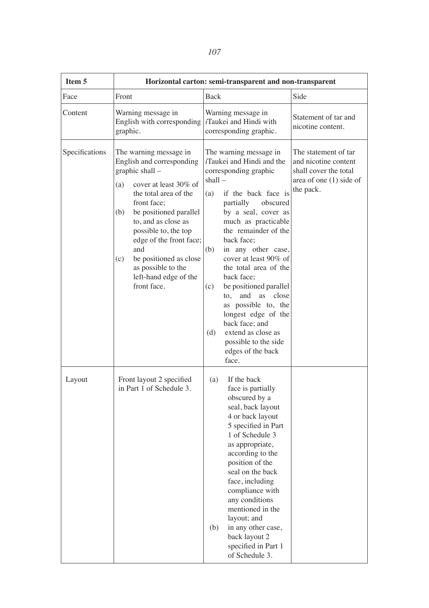|  | ł<br>۰. |
|--|---------|
|--|---------|

| Item 5         | Horizontal carton: semi-transparent and non-transparent                                                                                                                                                                                                                                                                                                         |                                                                                                                                                                                                                                                                                                                                                                                                                                                                                                                                                         |                                                                                                                 |
|----------------|-----------------------------------------------------------------------------------------------------------------------------------------------------------------------------------------------------------------------------------------------------------------------------------------------------------------------------------------------------------------|---------------------------------------------------------------------------------------------------------------------------------------------------------------------------------------------------------------------------------------------------------------------------------------------------------------------------------------------------------------------------------------------------------------------------------------------------------------------------------------------------------------------------------------------------------|-----------------------------------------------------------------------------------------------------------------|
| Face           | Front                                                                                                                                                                                                                                                                                                                                                           | <b>Back</b>                                                                                                                                                                                                                                                                                                                                                                                                                                                                                                                                             | Side                                                                                                            |
| Content        | Warning message in<br>English with corresponding<br>graphic.                                                                                                                                                                                                                                                                                                    | Warning message in<br><i>i</i> Taukei and Hindi with<br>corresponding graphic.                                                                                                                                                                                                                                                                                                                                                                                                                                                                          | Statement of tar and<br>nicotine content.                                                                       |
| Specifications | The warning message in<br>English and corresponding<br>graphic shall -<br>cover at least 30% of<br>(a)<br>the total area of the<br>front face;<br>be positioned parallel<br>(b)<br>to, and as close as<br>possible to, the top<br>edge of the front face;<br>and<br>be positioned as close<br>(c)<br>as possible to the<br>left-hand edge of the<br>front face. | The warning message in<br><i>i</i> Taukei and Hindi and the<br>corresponding graphic<br>shall-<br>(a)<br>if the back face is<br>obscured<br>partially<br>by a seal, cover as<br>much as practicable<br>the remainder of the<br>back face:<br>(b)<br>in any other case,<br>cover at least 90% of<br>the total area of the<br>back face;<br>(c)<br>be positioned parallel<br>and<br>as<br>close<br>to,<br>as possible to, the<br>longest edge of the<br>back face; and<br>extend as close as<br>(d)<br>possible to the side<br>edges of the back<br>face. | The statement of tar<br>and nicotine content<br>shall cover the total<br>area of one $(1)$ side of<br>the pack. |
| Layout         | Front layout 2 specified<br>in Part 1 of Schedule 3.                                                                                                                                                                                                                                                                                                            | (a)<br>If the back<br>face is partially<br>obscured by a<br>seal, back layout<br>4 or back layout<br>5 specified in Part<br>1 of Schedule 3<br>as appropriate,<br>according to the<br>position of the<br>seal on the back<br>face, including<br>compliance with<br>any conditions<br>mentioned in the<br>layout; and<br>in any other case,<br>(b)<br>back layout 2<br>specified in Part 1<br>of Schedule 3.                                                                                                                                             |                                                                                                                 |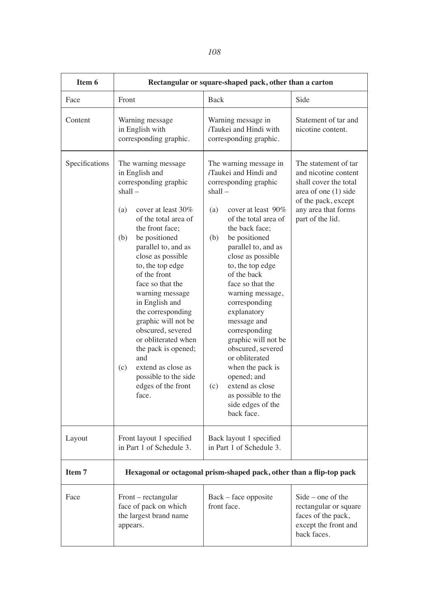| Item 6         | Rectangular or square-shaped pack, other than a carton                                                                                                                                                                                                                                                                                                                                                                                                                                                                         |                                                                                                                                                                                                                                                                                                                                                                                                                                                                                                                                                                       |                                                                                                                                                                   |
|----------------|--------------------------------------------------------------------------------------------------------------------------------------------------------------------------------------------------------------------------------------------------------------------------------------------------------------------------------------------------------------------------------------------------------------------------------------------------------------------------------------------------------------------------------|-----------------------------------------------------------------------------------------------------------------------------------------------------------------------------------------------------------------------------------------------------------------------------------------------------------------------------------------------------------------------------------------------------------------------------------------------------------------------------------------------------------------------------------------------------------------------|-------------------------------------------------------------------------------------------------------------------------------------------------------------------|
| Face           | Front                                                                                                                                                                                                                                                                                                                                                                                                                                                                                                                          | Back                                                                                                                                                                                                                                                                                                                                                                                                                                                                                                                                                                  | Side                                                                                                                                                              |
| Content        | Warning message<br>in English with<br>corresponding graphic.                                                                                                                                                                                                                                                                                                                                                                                                                                                                   | Warning message in<br><i>i</i> Taukei and Hindi with<br>corresponding graphic.                                                                                                                                                                                                                                                                                                                                                                                                                                                                                        | Statement of tar and<br>nicotine content.                                                                                                                         |
| Specifications | The warning message<br>in English and<br>corresponding graphic<br>$shall -$<br>cover at least 30%<br>(a)<br>of the total area of<br>the front face;<br>(b)<br>be positioned<br>parallel to, and as<br>close as possible<br>to, the top edge<br>of the front<br>face so that the<br>warning message<br>in English and<br>the corresponding<br>graphic will not be<br>obscured, severed<br>or obliterated when<br>the pack is opened;<br>and<br>extend as close as<br>(c)<br>possible to the side<br>edges of the front<br>face. | The warning message in<br><i>i</i> Taukei and Hindi and<br>corresponding graphic<br>shall –<br>cover at least 90%<br>(a)<br>of the total area of<br>the back face;<br>be positioned<br>(b)<br>parallel to, and as<br>close as possible<br>to, the top edge<br>of the back<br>face so that the<br>warning message,<br>corresponding<br>explanatory<br>message and<br>corresponding<br>graphic will not be<br>obscured, severed<br>or obliterated<br>when the pack is<br>opened; and<br>extend as close<br>(c)<br>as possible to the<br>side edges of the<br>back face. | The statement of tar<br>and nicotine content<br>shall cover the total<br>area of one $(1)$ side<br>of the pack, except<br>any area that forms<br>part of the lid. |
| Layout         | Front layout 1 specified<br>in Part 1 of Schedule 3.                                                                                                                                                                                                                                                                                                                                                                                                                                                                           | Back layout 1 specified<br>in Part 1 of Schedule 3.                                                                                                                                                                                                                                                                                                                                                                                                                                                                                                                   |                                                                                                                                                                   |
| Item 7         | Hexagonal or octagonal prism-shaped pack, other than a flip-top pack                                                                                                                                                                                                                                                                                                                                                                                                                                                           |                                                                                                                                                                                                                                                                                                                                                                                                                                                                                                                                                                       |                                                                                                                                                                   |
| Face           | Front – rectangular<br>face of pack on which<br>the largest brand name<br>appears.                                                                                                                                                                                                                                                                                                                                                                                                                                             | Back – face opposite<br>front face.                                                                                                                                                                                                                                                                                                                                                                                                                                                                                                                                   | Side - one of the<br>rectangular or square<br>faces of the pack,<br>except the front and<br>back faces.                                                           |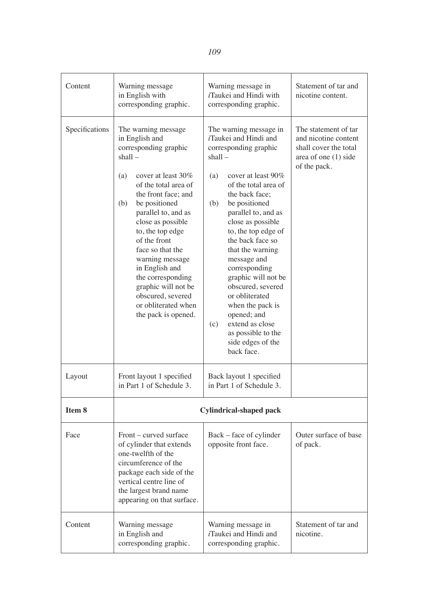| Content        | Warning message<br>in English with<br>corresponding graphic.                                                                                                                                                                                                                                                                                                                                                                          | Warning message in<br><i>i</i> Taukei and Hindi with<br>corresponding graphic.                                                                                                                                                                                                                                                                                                                                                                                                                                   | Statement of tar and<br>nicotine content.                                                                       |
|----------------|---------------------------------------------------------------------------------------------------------------------------------------------------------------------------------------------------------------------------------------------------------------------------------------------------------------------------------------------------------------------------------------------------------------------------------------|------------------------------------------------------------------------------------------------------------------------------------------------------------------------------------------------------------------------------------------------------------------------------------------------------------------------------------------------------------------------------------------------------------------------------------------------------------------------------------------------------------------|-----------------------------------------------------------------------------------------------------------------|
| Specifications | The warning message<br>in English and<br>corresponding graphic<br>shall –<br>cover at least 30%<br>(a)<br>of the total area of<br>the front face; and<br>be positioned<br>(b)<br>parallel to, and as<br>close as possible<br>to, the top edge<br>of the front<br>face so that the<br>warning message<br>in English and<br>the corresponding<br>graphic will not be<br>obscured, severed<br>or obliterated when<br>the pack is opened. | The warning message in<br>iTaukei and Hindi and<br>corresponding graphic<br>shall-<br>cover at least 90%<br>(a)<br>of the total area of<br>the back face;<br>be positioned<br>(b)<br>parallel to, and as<br>close as possible<br>to, the top edge of<br>the back face so<br>that the warning<br>message and<br>corresponding<br>graphic will not be<br>obscured, severed<br>or obliterated<br>when the pack is<br>opened; and<br>extend as close<br>(c)<br>as possible to the<br>side edges of the<br>back face. | The statement of tar<br>and nicotine content<br>shall cover the total<br>area of one $(1)$ side<br>of the pack. |
| Layout         | Front layout 1 specified<br>in Part 1 of Schedule 3.                                                                                                                                                                                                                                                                                                                                                                                  | Back layout 1 specified<br>in Part 1 of Schedule 3.                                                                                                                                                                                                                                                                                                                                                                                                                                                              |                                                                                                                 |
| Item 8         |                                                                                                                                                                                                                                                                                                                                                                                                                                       | <b>Cylindrical-shaped pack</b>                                                                                                                                                                                                                                                                                                                                                                                                                                                                                   |                                                                                                                 |
| Face           | Front – curved surface<br>of cylinder that extends<br>one-twelfth of the<br>circumference of the<br>package each side of the<br>vertical centre line of<br>the largest brand name<br>appearing on that surface.                                                                                                                                                                                                                       | Back - face of cylinder<br>opposite front face.                                                                                                                                                                                                                                                                                                                                                                                                                                                                  | Outer surface of base<br>of pack.                                                                               |
| Content        | Warning message<br>in English and<br>corresponding graphic.                                                                                                                                                                                                                                                                                                                                                                           | Warning message in<br>iTaukei and Hindi and<br>corresponding graphic.                                                                                                                                                                                                                                                                                                                                                                                                                                            | Statement of tar and<br>nicotine.                                                                               |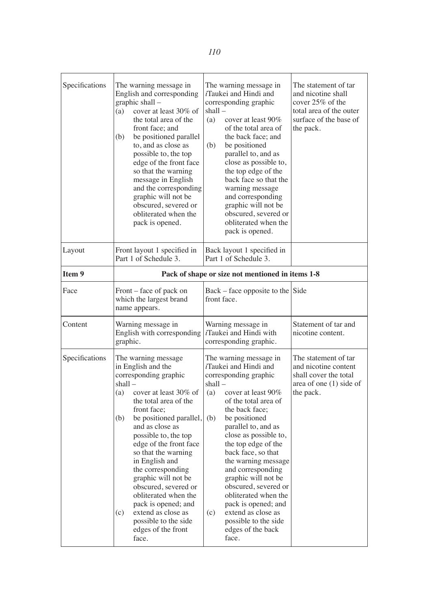| Specifications | The warning message in<br>English and corresponding<br>graphic shall -<br>(a)<br>cover at least 30% of<br>the total area of the<br>front face; and<br>(b)<br>be positioned parallel<br>to, and as close as<br>possible to, the top<br>edge of the front face<br>so that the warning<br>message in English<br>and the corresponding<br>graphic will not be<br>obscured, severed or<br>obliterated when the<br>pack is opened.                                                                                | The warning message in<br><i>i</i> Taukei and Hindi and<br>corresponding graphic<br>shall –<br>(a)<br>cover at least 90%<br>of the total area of<br>the back face; and<br>be positioned<br>(b)<br>parallel to, and as<br>close as possible to,<br>the top edge of the<br>back face so that the<br>warning message<br>and corresponding<br>graphic will not be<br>obscured, severed or<br>obliterated when the<br>pack is opened.                                                                                     | The statement of tar<br>and nicotine shall<br>cover 25% of the<br>total area of the outer<br>surface of the base of<br>the pack. |
|----------------|-------------------------------------------------------------------------------------------------------------------------------------------------------------------------------------------------------------------------------------------------------------------------------------------------------------------------------------------------------------------------------------------------------------------------------------------------------------------------------------------------------------|----------------------------------------------------------------------------------------------------------------------------------------------------------------------------------------------------------------------------------------------------------------------------------------------------------------------------------------------------------------------------------------------------------------------------------------------------------------------------------------------------------------------|----------------------------------------------------------------------------------------------------------------------------------|
| Layout         | Front layout 1 specified in<br>Part 1 of Schedule 3.                                                                                                                                                                                                                                                                                                                                                                                                                                                        | Back layout 1 specified in<br>Part 1 of Schedule 3.                                                                                                                                                                                                                                                                                                                                                                                                                                                                  |                                                                                                                                  |
| Item 9         | Pack of shape or size not mentioned in items 1-8                                                                                                                                                                                                                                                                                                                                                                                                                                                            |                                                                                                                                                                                                                                                                                                                                                                                                                                                                                                                      |                                                                                                                                  |
| Face           | Front – face of pack on<br>which the largest brand<br>name appears.                                                                                                                                                                                                                                                                                                                                                                                                                                         | $Back - face opposite to the Side$<br>front face.                                                                                                                                                                                                                                                                                                                                                                                                                                                                    |                                                                                                                                  |
| Content        | Warning message in<br>English with corresponding<br>graphic.                                                                                                                                                                                                                                                                                                                                                                                                                                                | Warning message in<br><i>i</i> Taukei and Hindi with<br>corresponding graphic.                                                                                                                                                                                                                                                                                                                                                                                                                                       | Statement of tar and<br>nicotine content.                                                                                        |
| Specifications | The warning message<br>in English and the<br>corresponding graphic<br>shall-<br>cover at least 30% of<br>(a)<br>the total area of the<br>front face;<br>be positioned parallel,<br>(b)<br>and as close as<br>possible to, the top<br>edge of the front face<br>so that the warning<br>in English and<br>the corresponding<br>graphic will not be<br>obscured, severed or<br>obliterated when the<br>pack is opened; and<br>extend as close as<br>(c)<br>possible to the side<br>edges of the front<br>face. | The warning message in<br><i>i</i> Taukei and Hindi and<br>corresponding graphic<br>shall –<br>cover at least 90%<br>(a)<br>of the total area of<br>the back face:<br>(b)<br>be positioned<br>parallel to, and as<br>close as possible to,<br>the top edge of the<br>back face, so that<br>the warning message<br>and corresponding<br>graphic will not be<br>obscured, severed or<br>obliterated when the<br>pack is opened; and<br>extend as close as<br>(c)<br>possible to the side<br>edges of the back<br>face. | The statement of tar<br>and nicotine content<br>shall cover the total<br>area of one $(1)$ side of<br>the pack.                  |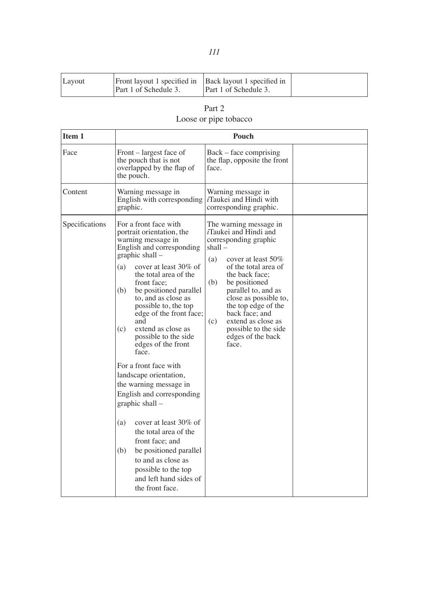| Layout | Front layout 1 specified in Back layout 1 specified in<br>Part 1 of Schedule 3. | Part 1 of Schedule 3. |  |
|--------|---------------------------------------------------------------------------------|-----------------------|--|
|        |                                                                                 |                       |  |

| Part 2                |
|-----------------------|
| Loose or pipe tobacco |

| Item 1         | Pouch                                                                                                                                                                                                                                                                                                                                                                                                                                                                                                                                                                                                                                                                                                                                         |                                                                                                                                                                                                                                                                                                                                                                           |
|----------------|-----------------------------------------------------------------------------------------------------------------------------------------------------------------------------------------------------------------------------------------------------------------------------------------------------------------------------------------------------------------------------------------------------------------------------------------------------------------------------------------------------------------------------------------------------------------------------------------------------------------------------------------------------------------------------------------------------------------------------------------------|---------------------------------------------------------------------------------------------------------------------------------------------------------------------------------------------------------------------------------------------------------------------------------------------------------------------------------------------------------------------------|
| Face           | Front – largest face of<br>the pouch that is not<br>overlapped by the flap of<br>the pouch.                                                                                                                                                                                                                                                                                                                                                                                                                                                                                                                                                                                                                                                   | Back – face comprising<br>the flap, opposite the front<br>face.                                                                                                                                                                                                                                                                                                           |
| Content        | Warning message in<br>English with corresponding<br>graphic.                                                                                                                                                                                                                                                                                                                                                                                                                                                                                                                                                                                                                                                                                  | Warning message in<br><i>i</i> Taukei and Hindi with<br>corresponding graphic.                                                                                                                                                                                                                                                                                            |
| Specifications | For a front face with<br>portrait orientation, the<br>warning message in<br>English and corresponding<br>graphic shall –<br>(a)<br>cover at least 30\% of<br>the total area of the<br>front face:<br>(b)<br>be positioned parallel<br>to, and as close as<br>possible to, the top<br>edge of the front face;<br>and<br>extend as close as<br>(c)<br>possible to the side<br>edges of the front<br>face.<br>For a front face with<br>landscape orientation,<br>the warning message in<br>English and corresponding<br>graphic shall $-$<br>cover at least 30% of<br>(a)<br>the total area of the<br>front face; and<br>(b)<br>be positioned parallel<br>to and as close as<br>possible to the top<br>and left hand sides of<br>the front face. | The warning message in<br><i>i</i> Taukei and Hindi and<br>corresponding graphic<br>shall –<br>cover at least $50\%$<br>(a)<br>of the total area of<br>the back face;<br>(b)<br>be positioned<br>parallel to, and as<br>close as possible to,<br>the top edge of the<br>back face; and<br>(c)<br>extend as close as<br>possible to the side<br>edges of the back<br>face. |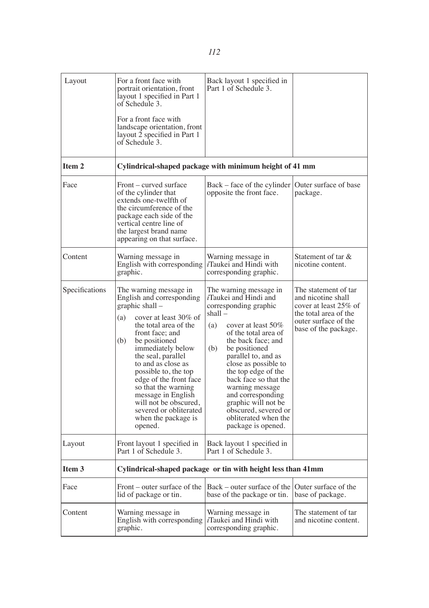| Layout         | For a front face with<br>portrait orientation, front<br>layout 1 specified in Part 1<br>of Schedule 3.<br>For a front face with<br>landscape orientation, front<br>layout 2 specified in Part 1<br>of Schedule 3.                                                                                                                                                                                                               | Back layout 1 specified in<br>Part 1 of Schedule 3.                                                                                                                                                                                                                                                                                                                                                                                |                                                                                                                                              |
|----------------|---------------------------------------------------------------------------------------------------------------------------------------------------------------------------------------------------------------------------------------------------------------------------------------------------------------------------------------------------------------------------------------------------------------------------------|------------------------------------------------------------------------------------------------------------------------------------------------------------------------------------------------------------------------------------------------------------------------------------------------------------------------------------------------------------------------------------------------------------------------------------|----------------------------------------------------------------------------------------------------------------------------------------------|
| Item 2         | Cylindrical-shaped package with minimum height of 41 mm                                                                                                                                                                                                                                                                                                                                                                         |                                                                                                                                                                                                                                                                                                                                                                                                                                    |                                                                                                                                              |
| Face           | Front – curved surface<br>of the cylinder that<br>extends one-twelfth of<br>the circumference of the<br>package each side of the<br>vertical centre line of<br>the largest brand name<br>appearing on that surface.                                                                                                                                                                                                             | Back – face of the cylinder<br>opposite the front face.                                                                                                                                                                                                                                                                                                                                                                            | Outer surface of base<br>package.                                                                                                            |
| Content        | Warning message in<br>English with corresponding<br>graphic.                                                                                                                                                                                                                                                                                                                                                                    | Warning message in<br><i>i</i> Taukei and Hindi with<br>corresponding graphic.                                                                                                                                                                                                                                                                                                                                                     | Statement of tar $\&$<br>nicotine content.                                                                                                   |
| Specifications | The warning message in<br>English and corresponding<br>graphic shall -<br>(a)<br>cover at least 30% of<br>the total area of the<br>front face; and<br>(b)<br>be positioned<br>immediately below<br>the seal, parallel<br>to and as close as<br>possible to, the top<br>edge of the front face<br>so that the warning<br>message in English<br>will not be obscured,<br>severed or obliterated<br>when the package is<br>opened. | The warning message in<br><i>i</i> Taukei and Hindi and<br>corresponding graphic<br>shall –<br>(a)<br>cover at least 50%<br>of the total area of<br>the back face; and<br>(b)<br>be positioned<br>parallel to, and as<br>close as possible to<br>the top edge of the<br>back face so that the<br>warning message<br>and corresponding<br>graphic will not be<br>obscured, severed or<br>obliterated when the<br>package is opened. | The statement of tar<br>and nicotine shall<br>cover at least 25% of<br>the total area of the<br>outer surface of the<br>base of the package. |
| Layout         | Front layout 1 specified in<br>Part 1 of Schedule 3.                                                                                                                                                                                                                                                                                                                                                                            | Back layout 1 specified in<br>Part 1 of Schedule 3.                                                                                                                                                                                                                                                                                                                                                                                |                                                                                                                                              |
| Item 3         | Cylindrical-shaped package or tin with height less than 41mm                                                                                                                                                                                                                                                                                                                                                                    |                                                                                                                                                                                                                                                                                                                                                                                                                                    |                                                                                                                                              |
| Face           | Front – outer surface of the<br>lid of package or tin.                                                                                                                                                                                                                                                                                                                                                                          | Back – outer surface of the<br>base of the package or tin.                                                                                                                                                                                                                                                                                                                                                                         | Outer surface of the<br>base of package.                                                                                                     |
| Content        | Warning message in<br>English with corresponding<br>graphic.                                                                                                                                                                                                                                                                                                                                                                    | Warning message in<br><i>i</i> Taukei and Hindi with<br>corresponding graphic.                                                                                                                                                                                                                                                                                                                                                     | The statement of tar<br>and nicotine content.                                                                                                |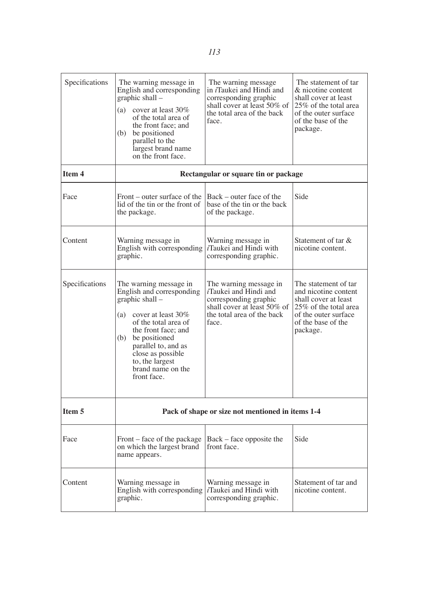| Specifications | The warning message in<br>English and corresponding<br>graphic shall –<br>(a)<br>cover at least 30%<br>of the total area of<br>the front face: and<br>be positioned<br>(b)<br>parallel to the<br>largest brand name<br>on the front face.                                     | The warning message.<br>in <i>i</i> Taukei and Hindi and<br>corresponding graphic<br>shall cover at least 50% of<br>the total area of the back<br>face. | The statement of tar<br>& nicotine content<br>shall cover at least<br>25% of the total area<br>of the outer surface<br>of the base of the<br>package.   |
|----------------|-------------------------------------------------------------------------------------------------------------------------------------------------------------------------------------------------------------------------------------------------------------------------------|---------------------------------------------------------------------------------------------------------------------------------------------------------|---------------------------------------------------------------------------------------------------------------------------------------------------------|
| Item 4         |                                                                                                                                                                                                                                                                               | Rectangular or square tin or package                                                                                                                    |                                                                                                                                                         |
| Face           | Front – outer surface of the<br>lid of the tin or the front of<br>the package.                                                                                                                                                                                                | Back – outer face of the<br>base of the tin or the back<br>of the package.                                                                              | Side                                                                                                                                                    |
| Content        | Warning message in<br>English with corresponding<br>graphic.                                                                                                                                                                                                                  | Warning message in<br><i>i</i> Taukei and Hindi with<br>corresponding graphic.                                                                          | Statement of tar &<br>nicotine content.                                                                                                                 |
| Specifications | The warning message in<br>English and corresponding<br>graphic shall -<br>(a)<br>cover at least 30%<br>of the total area of<br>the front face; and<br>(b)<br>be positioned<br>parallel to, and as<br>close as possible<br>to, the largest<br>brand name on the<br>front face. | The warning message in<br>iTaukei and Hindi and<br>corresponding graphic<br>shall cover at least $50\%$ of<br>the total area of the back<br>face.       | The statement of tar<br>and nicotine content<br>shall cover at least<br>25% of the total area<br>of the outer surface<br>of the base of the<br>package. |
| Item 5         | Pack of shape or size not mentioned in items 1-4                                                                                                                                                                                                                              |                                                                                                                                                         |                                                                                                                                                         |
| Face           | Front – face of the package<br>on which the largest brand<br>name appears.                                                                                                                                                                                                    | Back – face opposite the<br>front face.                                                                                                                 | Side                                                                                                                                                    |
| Content        | Warning message in<br>English with corresponding<br>graphic.                                                                                                                                                                                                                  | Warning message in<br><i>i</i> Taukei and Hindi with<br>corresponding graphic.                                                                          | Statement of tar and<br>nicotine content.                                                                                                               |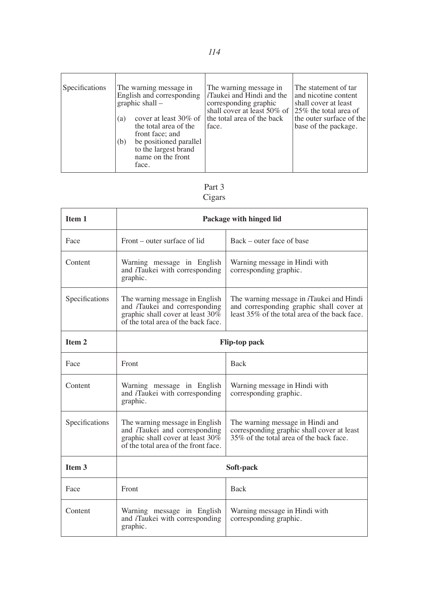| Specifications | The warning message in<br>English and corresponding<br>graphic shall $-$<br>cover at least 30% of<br>(a)<br>the total area of the<br>front face; and<br>be positioned parallel<br>(b)<br>to the largest brand<br>name on the front<br>face. | The warning message in<br>$i$ Taukei and Hindi and the<br>corresponding graphic<br>shall cover at least 50% of $125%$ the total area of<br>the total area of the back<br>face. | The statement of tar<br>and nicotine content<br>shall cover at least<br>the outer surface of the<br>base of the package. |
|----------------|---------------------------------------------------------------------------------------------------------------------------------------------------------------------------------------------------------------------------------------------|--------------------------------------------------------------------------------------------------------------------------------------------------------------------------------|--------------------------------------------------------------------------------------------------------------------------|
|----------------|---------------------------------------------------------------------------------------------------------------------------------------------------------------------------------------------------------------------------------------------|--------------------------------------------------------------------------------------------------------------------------------------------------------------------------------|--------------------------------------------------------------------------------------------------------------------------|

# Part 3 Cigars

| Item 1            | Package with hinged lid                                                                                                                                                                                                                                                                             |                                                         |  |
|-------------------|-----------------------------------------------------------------------------------------------------------------------------------------------------------------------------------------------------------------------------------------------------------------------------------------------------|---------------------------------------------------------|--|
| Face              | Front – outer surface of lid                                                                                                                                                                                                                                                                        | Back - outer face of base                               |  |
| Content           | Warning message in English<br>and <i>i</i> Taukei with corresponding<br>graphic.                                                                                                                                                                                                                    | Warning message in Hindi with<br>corresponding graphic. |  |
| Specifications    | The warning message in <i>i</i> Taukei and Hindi<br>The warning message in English<br>and <i>i</i> Taukei and corresponding<br>and corresponding graphic shall cover at<br>least 35% of the total area of the back face.<br>graphic shall cover at least 30%<br>of the total area of the back face. |                                                         |  |
| Item 2            | <b>Flip-top pack</b>                                                                                                                                                                                                                                                                                |                                                         |  |
| Face              | Front                                                                                                                                                                                                                                                                                               | <b>Back</b>                                             |  |
| Content           | Warning message in English<br>and <i>i</i> Taukei with corresponding<br>graphic.                                                                                                                                                                                                                    | Warning message in Hindi with<br>corresponding graphic. |  |
| Specifications    | The warning message in English<br>The warning message in Hindi and<br>and <i>i</i> Taukei and corresponding<br>corresponding graphic shall cover at least<br>35% of the total area of the back face.<br>graphic shall cover at least $30\%$<br>of the total area of the front face.                 |                                                         |  |
| Item <sub>3</sub> | Soft-pack                                                                                                                                                                                                                                                                                           |                                                         |  |
| Face              | Front                                                                                                                                                                                                                                                                                               | <b>Back</b>                                             |  |
| Content           | Warning message in Hindi with<br>Warning message in English<br>and <i>i</i> Taukei with corresponding<br>corresponding graphic.<br>graphic.                                                                                                                                                         |                                                         |  |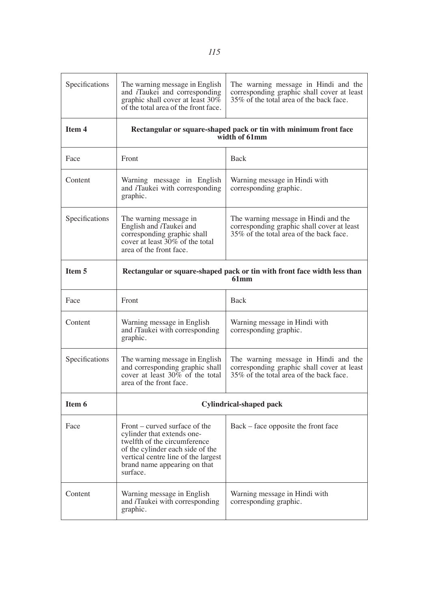| Specifications | The warning message in English<br>and <i>i</i> Taukei and corresponding<br>graphic shall cover at least 30%<br>of the total area of the front face.                                                                | The warning message in Hindi and the<br>corresponding graphic shall cover at least<br>35% of the total area of the back face. |  |
|----------------|--------------------------------------------------------------------------------------------------------------------------------------------------------------------------------------------------------------------|-------------------------------------------------------------------------------------------------------------------------------|--|
| Item 4         |                                                                                                                                                                                                                    | Rectangular or square-shaped pack or tin with minimum front face<br>width of 61mm                                             |  |
| Face           | Front                                                                                                                                                                                                              | Back                                                                                                                          |  |
| Content        | Warning message in English<br>and <i>i</i> Taukei with corresponding<br>graphic.                                                                                                                                   | Warning message in Hindi with<br>corresponding graphic.                                                                       |  |
| Specifications | The warning message in<br>English and iTaukei and<br>corresponding graphic shall<br>cover at least $30\%$ of the total<br>area of the front face.                                                                  | The warning message in Hindi and the<br>corresponding graphic shall cover at least<br>35% of the total area of the back face. |  |
| Item 5         | Rectangular or square-shaped pack or tin with front face width less than<br>61mm                                                                                                                                   |                                                                                                                               |  |
| Face           | Front                                                                                                                                                                                                              | Back                                                                                                                          |  |
| Content        | Warning message in English<br>and <i>i</i> Taukei with corresponding<br>graphic.                                                                                                                                   | Warning message in Hindi with<br>corresponding graphic.                                                                       |  |
| Specifications | The warning message in English<br>and corresponding graphic shall<br>cover at least 30% of the total<br>area of the front face.                                                                                    | The warning message in Hindi and the<br>corresponding graphic shall cover at least<br>35% of the total area of the back face. |  |
| Item 6         | <b>Cylindrical-shaped pack</b>                                                                                                                                                                                     |                                                                                                                               |  |
| Face           | Front – curved surface of the<br>cylinder that extends one-<br>twelfth of the circumference<br>of the cylinder each side of the<br>vertical centre line of the largest<br>brand name appearing on that<br>surface. | Back – face opposite the front face                                                                                           |  |
| Content        | Warning message in English<br>and <i>i</i> Taukei with corresponding<br>graphic.                                                                                                                                   | Warning message in Hindi with<br>corresponding graphic.                                                                       |  |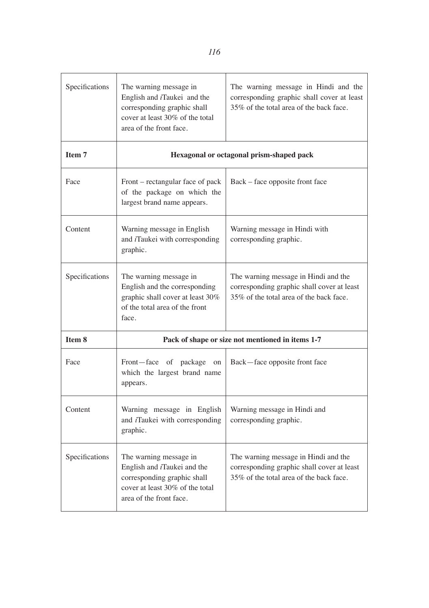| Specifications | The warning message in<br>English and <i>i</i> Taukei and the<br>corresponding graphic shall<br>cover at least 30% of the total<br>area of the front face. | The warning message in Hindi and the<br>corresponding graphic shall cover at least<br>35% of the total area of the back face. |  |
|----------------|------------------------------------------------------------------------------------------------------------------------------------------------------------|-------------------------------------------------------------------------------------------------------------------------------|--|
| Item 7         |                                                                                                                                                            | Hexagonal or octagonal prism-shaped pack                                                                                      |  |
| Face           | Front – rectangular face of pack<br>of the package on which the<br>largest brand name appears.                                                             | Back – face opposite front face                                                                                               |  |
| Content        | Warning message in English<br>and <i>i</i> Taukei with corresponding<br>graphic.                                                                           | Warning message in Hindi with<br>corresponding graphic.                                                                       |  |
| Specifications | The warning message in<br>English and the corresponding<br>graphic shall cover at least 30%<br>of the total area of the front<br>face.                     | The warning message in Hindi and the<br>corresponding graphic shall cover at least<br>35% of the total area of the back face. |  |
| Item 8         | Pack of shape or size not mentioned in items 1-7                                                                                                           |                                                                                                                               |  |
| Face           | Front-face of package on<br>which the largest brand name<br>appears.                                                                                       | Back—face opposite front face                                                                                                 |  |
| Content        | Warning message in English<br>and <i>i</i> Taukei with corresponding<br>graphic.                                                                           | Warning message in Hindi and<br>corresponding graphic.                                                                        |  |
| Specifications | The warning message in<br>English and <i>i</i> Taukei and the<br>corresponding graphic shall<br>cover at least 30% of the total<br>area of the front face. | The warning message in Hindi and the<br>corresponding graphic shall cover at least<br>35% of the total area of the back face. |  |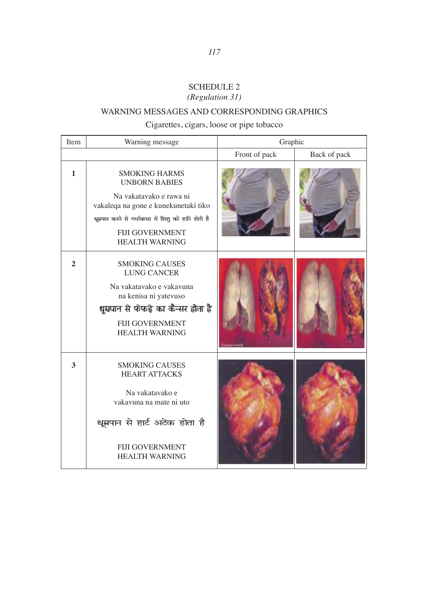# SCHEDULE 2 *(Regulation 31)*

# WARNING MESSAGES AND CORRESPONDING GRAPHICS

Cigarettes, cigars, loose or pipe tobacco

| Item           | Warning message                                                                                                                                                                                                            | Graphic       |              |
|----------------|----------------------------------------------------------------------------------------------------------------------------------------------------------------------------------------------------------------------------|---------------|--------------|
|                |                                                                                                                                                                                                                            | Front of pack | Back of pack |
| $\mathbf{1}$   | <b>SMOKING HARMS</b><br><b>UNBORN BABIES</b><br>Na vakatavako e rawa ni<br>vakaleqa na gone e kunekunetaki tiko<br>धूम्रपान करने से गर्भावस्था में शिशु को हानि होती है<br><b>FIJI GOVERNMENT</b><br><b>HEALTH WARNING</b> |               |              |
| $\overline{2}$ | <b>SMOKING CAUSES</b><br><b>LUNG CANCER</b><br>Na vakatavako e vakavuna<br>na kenisa ni yatevuso<br>धूम्रपान से फेफड़े का कैन्सर होता है<br><b>FIJI GOVERNMENT</b><br><b>HEALTH WARNING</b>                                |               |              |
| 3              | <b>SMOKING CAUSES</b><br><b>HEART ATTACKS</b><br>Na vakatavako e<br>vakavuna na mate ni uto<br>धूम्रपान से हार्ट अटेक होता है<br><b>FIJI GOVERNMENT</b><br><b>HEALTH WARNING</b>                                           |               |              |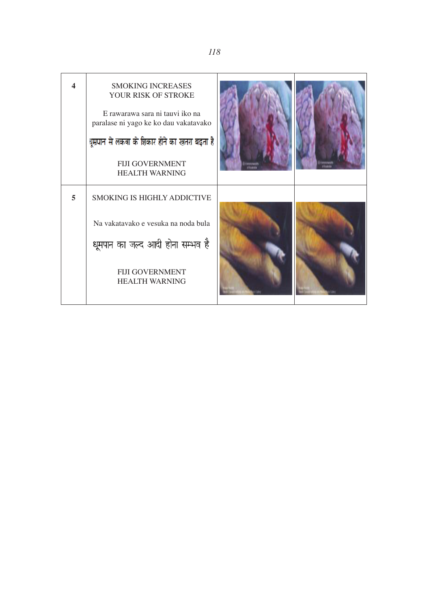| 4 | <b>SMOKING INCREASES</b><br>YOUR RISK OF STROKE<br>E rawarawa sara ni tauvi iko na<br>paralase ni yago ke ko dau vakatavako<br>धूम्रपान से लकवा के शिकार होने का खतरा बदता है<br><b>FIJI GOVERNMENT</b><br><b>HEALTH WARNING</b> |  |
|---|----------------------------------------------------------------------------------------------------------------------------------------------------------------------------------------------------------------------------------|--|
| 5 | <b>SMOKING IS HIGHLY ADDICTIVE</b>                                                                                                                                                                                               |  |
|   | Na vakatavako e vesuka na noda bula                                                                                                                                                                                              |  |
|   | धूमपान का जल्द आदी होना सम्भव है                                                                                                                                                                                                 |  |
|   | <b>FIJI GOVERNMENT</b><br><b>HEALTH WARNING</b>                                                                                                                                                                                  |  |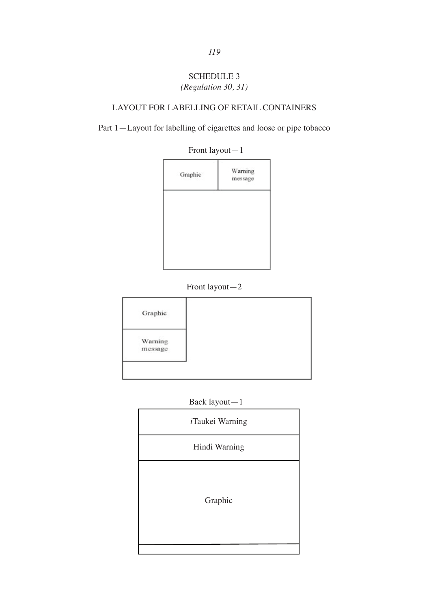# SCHEDULE 3 SCHEDULE 3 *(Regulation 30, 31) (Regulation 30,31)*

#### LAYOUT FOR LABELLING OF RETAIL CONTAINERS LAYOUT FOR LABELLING OF RETAIL CONTAINERS

Part 1—Layout for labelling of cigarettes and loose or pipe tobacco



# Front layout-2 Front layout—2



Back layout-1 Back layout—1

| iTaukei Warning |
|-----------------|
| Hindi Warning   |
| Graphic         |
|                 |

*119*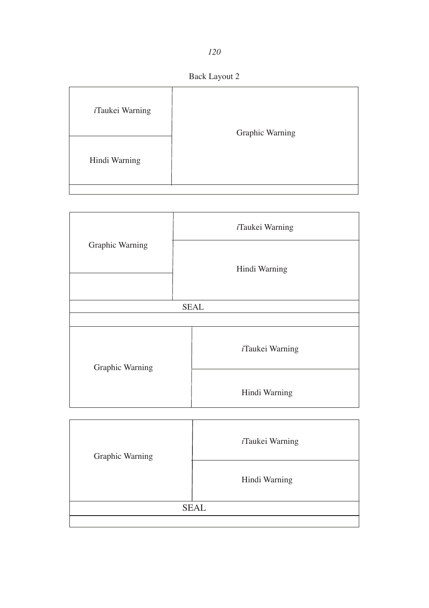*120*

Back Layout 2

| iTaukei Warning | Graphic Warning |
|-----------------|-----------------|
| Hindi Warning   |                 |

|                 |             | <i>i</i> Taukei Warning |
|-----------------|-------------|-------------------------|
| Graphic Warning |             | Hindi Warning           |
|                 | <b>SEAL</b> |                         |
|                 |             |                         |
|                 |             |                         |
| Graphic Warning |             | iTaukei Warning         |
|                 |             | Hindi Warning           |

| Graphic Warning | <i>i</i> Taukei Warning |  |
|-----------------|-------------------------|--|
|                 | Hindi Warning           |  |
| <b>SEAL</b>     |                         |  |
|                 |                         |  |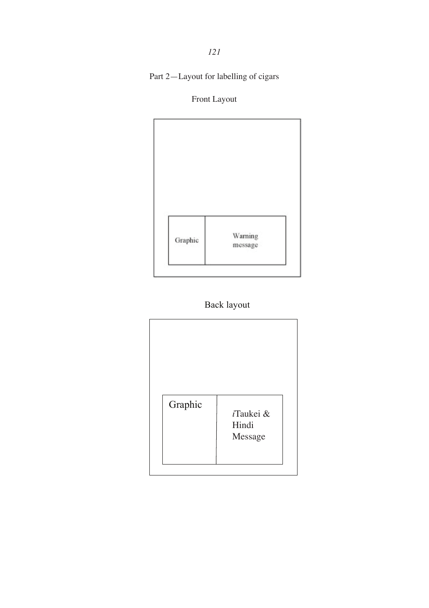Part 2—Layout for labelling of cigars

# Front Layout





| Graphic | <i>i</i> Taukei &<br>Hindi<br>Message |
|---------|---------------------------------------|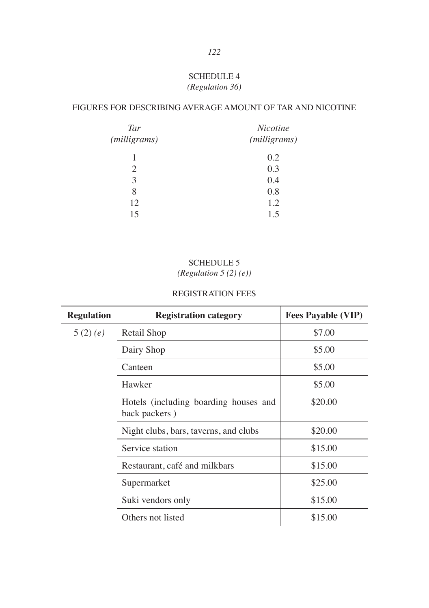# SCHEDULE 4 *(Regulation 36)*

# FIGURES FOR DESCRIBING AVERAGE AMOUNT OF TAR AND NICOTINE

| Tar          | Nicotine              |  |  |
|--------------|-----------------------|--|--|
| (milligrams) | ( <i>milligrams</i> ) |  |  |
| 1            | 0.2                   |  |  |
| 2            | 0.3                   |  |  |
| 3            | 0.4                   |  |  |
| 8            | 0.8                   |  |  |
| 12           | 1.2                   |  |  |
| 15           | 1.5                   |  |  |

# SCHEDULE 5

*(Regulation 5 (2) (e))*

# REGISTRATION FEES

| <b>Regulation</b> | <b>Registration category</b>                           | <b>Fees Payable (VIP)</b> |
|-------------------|--------------------------------------------------------|---------------------------|
| 5(2)(e)           | Retail Shop                                            | \$7.00                    |
|                   | Dairy Shop                                             | \$5.00                    |
|                   | Canteen                                                | \$5.00                    |
|                   | Hawker                                                 | \$5.00                    |
|                   | Hotels (including boarding houses and<br>back packers) | \$20.00                   |
|                   | Night clubs, bars, taverns, and clubs                  | \$20.00                   |
|                   | Service station                                        | \$15.00                   |
|                   | Restaurant, café and milkbars                          | \$15.00                   |
|                   | Supermarket                                            | \$25.00                   |
|                   | Suki vendors only                                      | \$15.00                   |
|                   | Others not listed                                      | \$15.00                   |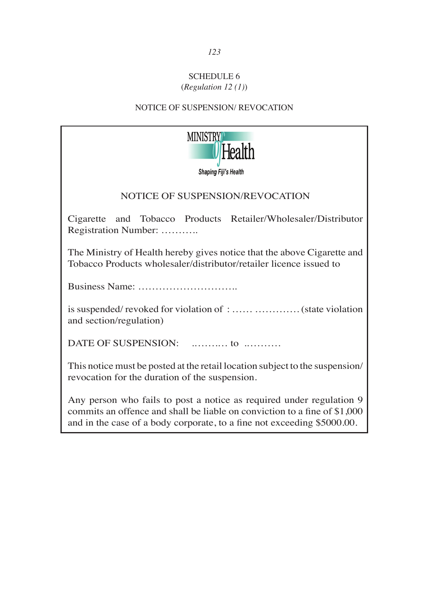# SCHEDULE 6 (*Regulation 12 (1)*)

# NOTICE OF SUSPENSION/ REVOCATION



# NOTICE OF SUSPENSION/REVOCATION

Cigarette and Tobacco Products Retailer/Wholesaler/Distributor Registration Number: ………..

The Ministry of Health hereby gives notice that the above Cigarette and Tobacco Products wholesaler/distributor/retailer licence issued to

Business Name: ………………………..

is suspended/ revoked for violation of : …… …………. (state violation and section/regulation)

DATE OF SUSPENSION: .…….… to .……….

This notice must be posted at the retail location subject to the suspension/ revocation for the duration of the suspension.

Any person who fails to post a notice as required under regulation 9 commits an offence and shall be liable on conviction to a fine of \$1,000 and in the case of a body corporate, to a fine not exceeding \$5000.00.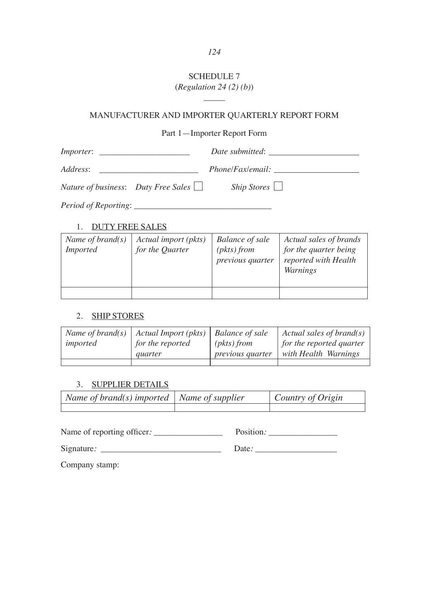# SCHEDULE 7 (*Regulation 24 (2) (b)*)

# \_\_\_\_\_ MANUFACTURER AND IMPORTER QUARTERLY REPORT FORM

# Part 1—Importer Report Form

| <i>Importer:</i><br><u> 1980 - Jan Barbara, manazarta da Barbara</u> | Date submitted:                                             |
|----------------------------------------------------------------------|-------------------------------------------------------------|
| Address:                                                             | <i>Phone/Fax/email:</i>                                     |
| Nature of business: Duty Free Sales $\Box$                           | $\textit{ship \, \, \overline{ \textit{Stores} \, \, \Box}$ |
|                                                                      |                                                             |

1. DUTY FREE SALES

| Name of brand $(s)$<br><i>Imported</i> | Actual import (pkts)<br>for the Quarter | <b>Balance of sale</b><br>$(\textit{pkts})$ from<br>previous quarter | Actual sales of brands<br>for the quarter being<br>reported with Health<br>Warnings |
|----------------------------------------|-----------------------------------------|----------------------------------------------------------------------|-------------------------------------------------------------------------------------|
|                                        |                                         |                                                                      |                                                                                     |

# 2. SHIP STORES

| Name of brand $(s)$<br>imported | Actual Import (pkts)<br>for the reported<br><i>auarter</i> | <b>Balance of sale</b><br>$(\textit{pkts})$ from<br><i>previous quarter</i> | Actual sales of brand(s)<br>for the reported quarter<br>with Health Warnings |
|---------------------------------|------------------------------------------------------------|-----------------------------------------------------------------------------|------------------------------------------------------------------------------|
|                                 |                                                            |                                                                             |                                                                              |

# 3. SUPPLIER DETAILS

| $\vert$ Name of brand(s) imported $\vert$ Name of supplier | $\vert$ Country of Origin |
|------------------------------------------------------------|---------------------------|
|                                                            |                           |

Name of reporting officer*:* \_\_\_\_\_\_\_\_\_\_\_\_\_\_\_\_ Position*:* \_\_\_\_\_\_\_\_\_\_\_\_\_\_\_\_

Signature*:* \_\_\_\_\_\_\_\_\_\_\_\_\_\_\_\_\_\_\_\_\_\_\_\_\_\_\_\_ Date*:* \_\_\_\_\_\_\_\_\_\_\_\_\_\_\_\_\_\_\_

Company stamp: